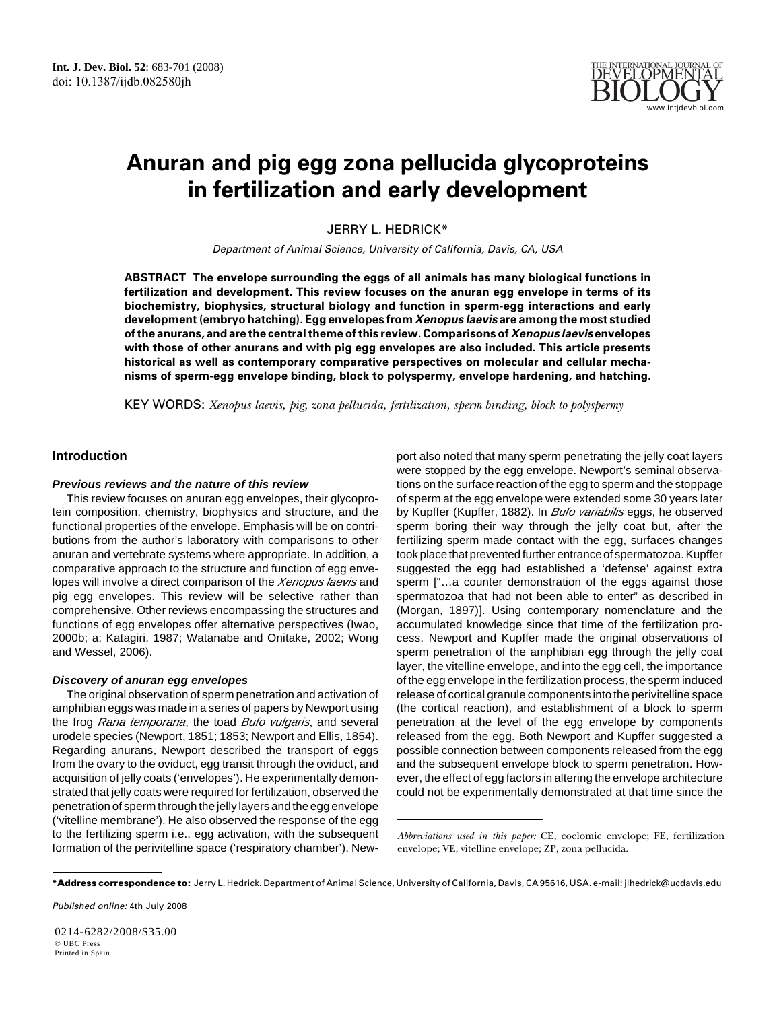

# **Anuran and pig egg zona pellucida glycoproteins in fertilization and early development**

JERRY L. HEDRICK\*

Department of Animal Science, University of California, Davis, CA, USA

**ABSTRACT The envelope surrounding the eggs of all animals has many biological functions in fertilization and development. This review focuses on the anuran egg envelope in terms of its biochemistry, biophysics, structural biology and function in sperm-egg interactions and early development (embryo hatching). Egg envelopes from Xenopus laevis are among the most studied of the anurans, and are the central theme of this review. Comparisons of Xenopus laevis envelopes with those of other anurans and with pig egg envelopes are also included. This article presents historical as well as contemporary comparative perspectives on molecular and cellular mechanisms of sperm-egg envelope binding, block to polyspermy, envelope hardening, and hatching.**

KEY WORDS: *Xenopus laevis, pig, zona pellucida, fertilization, sperm binding, block to polyspermy*

## **Introduction**

#### *Previous reviews and the nature of this review*

This review focuses on anuran egg envelopes, their glycoprotein composition, chemistry, biophysics and structure, and the functional properties of the envelope. Emphasis will be on contributions from the author's laboratory with comparisons to other anuran and vertebrate systems where appropriate. In addition, a comparative approach to the structure and function of egg envelopes will involve a direct comparison of the *Xenopus laevis* and pig egg envelopes. This review will be selective rather than comprehensive. Other reviews encompassing the structures and functions of egg envelopes offer alternative perspectives (Iwao, 2000b; a; Katagiri, 1987; Watanabe and Onitake, 2002; Wong and Wessel, 2006).

## *Discovery of anuran egg envelopes*

The original observation of sperm penetration and activation of amphibian eggs was made in a series of papers by Newport using the frog *Rana temporaria*, the toad *Bufo vulgaris*, and several urodele species (Newport, 1851; 1853; Newport and Ellis, 1854). Regarding anurans, Newport described the transport of eggs from the ovary to the oviduct, egg transit through the oviduct, and acquisition of jelly coats ('envelopes'). He experimentally demonstrated that jelly coats were required for fertilization, observed the penetration of sperm through the jelly layers and the egg envelope ('vitelline membrane'). He also observed the response of the egg to the fertilizing sperm i.e., egg activation, with the subsequent formation of the perivitelline space ('respiratory chamber'). New-

port also noted that many sperm penetrating the jelly coat layers were stopped by the egg envelope. Newport's seminal observations on the surface reaction of the egg to sperm and the stoppage of sperm at the egg envelope were extended some 30 years later by Kupffer (Kupffer, 1882). In *Bufo variabilis* eggs, he observed sperm boring their way through the jelly coat but, after the fertilizing sperm made contact with the egg, surfaces changes took place that prevented further entrance of spermatozoa. Kupffer suggested the egg had established a 'defense' against extra sperm  $I^{\prime\prime}$  a counter demonstration of the eggs against those spermatozoa that had not been able to enter" as described in (Morgan, 1897)]. Using contemporary nomenclature and the accumulated knowledge since that time of the fertilization process, Newport and Kupffer made the original observations of sperm penetration of the amphibian egg through the jelly coat layer, the vitelline envelope, and into the egg cell, the importance of the egg envelope in the fertilization process, the sperm induced release of cortical granule components into the perivitelline space (the cortical reaction), and establishment of a block to sperm penetration at the level of the egg envelope by components released from the egg. Both Newport and Kupffer suggested a possible connection between components released from the egg and the subsequent envelope block to sperm penetration. However, the effect of egg factors in altering the envelope architecture could not be experimentally demonstrated at that time since the

Published online: 4th July 2008

0214-6282/2008/\$35.00 © UBC Press Printed in Spain

*Abbreviations used in this paper:* CE, coelomic envelope; FE, fertilization envelope; VE, vitelline envelope; ZP, zona pellucida.

**<sup>\*</sup>Address correspondence to:** Jerry L. Hedrick. Department of Animal Science, University of California, Davis, CA 95616, USA. e-mail: jlhedrick@ucdavis.edu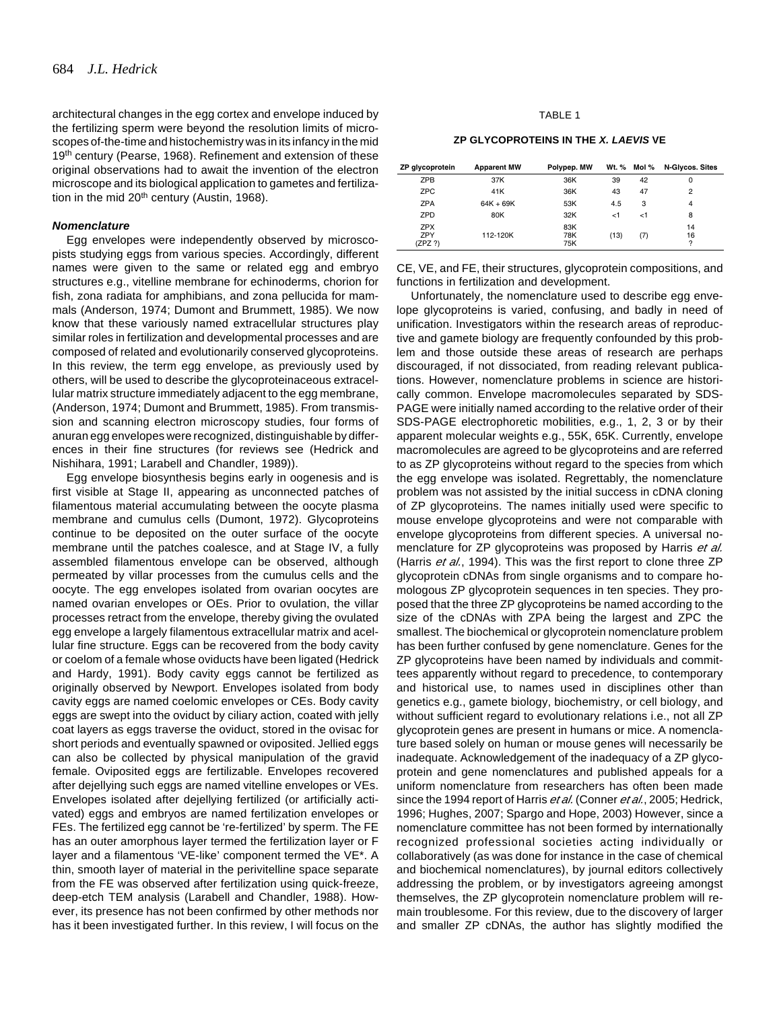architectural changes in the egg cortex and envelope induced by the fertilizing sperm were beyond the resolution limits of microscopes of-the-time and histochemistry was in its infancy in the mid 19<sup>th</sup> century (Pearse, 1968). Refinement and extension of these original observations had to await the invention of the electron microscope and its biological application to gametes and fertilization in the mid  $20<sup>th</sup>$  century (Austin, 1968).

## *Nomenclature*

Egg envelopes were independently observed by microscopists studying eggs from various species. Accordingly, different names were given to the same or related egg and embryo structures e.g., vitelline membrane for echinoderms, chorion for fish, zona radiata for amphibians, and zona pellucida for mammals (Anderson, 1974; Dumont and Brummett, 1985). We now know that these variously named extracellular structures play similar roles in fertilization and developmental processes and are composed of related and evolutionarily conserved glycoproteins. In this review, the term egg envelope, as previously used by others, will be used to describe the glycoproteinaceous extracellular matrix structure immediately adjacent to the egg membrane, (Anderson, 1974; Dumont and Brummett, 1985). From transmission and scanning electron microscopy studies, four forms of anuran egg envelopes were recognized, distinguishable by differences in their fine structures (for reviews see (Hedrick and Nishihara, 1991; Larabell and Chandler, 1989)).

Egg envelope biosynthesis begins early in oogenesis and is first visible at Stage II, appearing as unconnected patches of filamentous material accumulating between the oocyte plasma membrane and cumulus cells (Dumont, 1972). Glycoproteins continue to be deposited on the outer surface of the oocyte membrane until the patches coalesce, and at Stage IV, a fully assembled filamentous envelope can be observed, although permeated by villar processes from the cumulus cells and the oocyte. The egg envelopes isolated from ovarian oocytes are named ovarian envelopes or OEs. Prior to ovulation, the villar processes retract from the envelope, thereby giving the ovulated egg envelope a largely filamentous extracellular matrix and acellular fine structure. Eggs can be recovered from the body cavity or coelom of a female whose oviducts have been ligated (Hedrick and Hardy, 1991). Body cavity eggs cannot be fertilized as originally observed by Newport. Envelopes isolated from body cavity eggs are named coelomic envelopes or CEs. Body cavity eggs are swept into the oviduct by ciliary action, coated with jelly coat layers as eggs traverse the oviduct, stored in the ovisac for short periods and eventually spawned or oviposited. Jellied eggs can also be collected by physical manipulation of the gravid female. Oviposited eggs are fertilizable. Envelopes recovered after dejellying such eggs are named vitelline envelopes or VEs. Envelopes isolated after dejellying fertilized (or artificially activated) eggs and embryos are named fertilization envelopes or FEs. The fertilized egg cannot be 're-fertilized' by sperm. The FE has an outer amorphous layer termed the fertilization layer or F layer and a filamentous 'VE-like' component termed the VE\*. A thin, smooth layer of material in the perivitelline space separate from the FE was observed after fertilization using quick-freeze, deep-etch TEM analysis (Larabell and Chandler, 1988). However, its presence has not been confirmed by other methods nor has it been investigated further. In this review, I will focus on the

# TABLE 1

#### **ZP GLYCOPROTEINS IN THE** *X. LAEVIS* **VE**

| ZP glycoprotein              | <b>Apparent MW</b> | Polypep. MW       | <b>Wt.</b> % | Mol % | N-Glycos. Sites |
|------------------------------|--------------------|-------------------|--------------|-------|-----------------|
| <b>ZPB</b>                   | 37K                | 36K               | 39           | 42    | 0               |
| <b>ZPC</b>                   | 41K                | 36K               | 43           | 47    | 2               |
| <b>ZPA</b>                   | $64K + 69K$        | 53K               | 4.5          | 3     | 4               |
| <b>ZPD</b>                   | 80K                | 32K               | ا>           | < 1   | 8               |
| <b>ZPX</b><br>ZPY<br>(ZPZ ?) | 112-120K           | 83K<br>78K<br>75K | (13)         | (7)   | 14<br>16<br>2   |

CE, VE, and FE, their structures, glycoprotein compositions, and functions in fertilization and development.

Unfortunately, the nomenclature used to describe egg envelope glycoproteins is varied, confusing, and badly in need of unification. Investigators within the research areas of reproductive and gamete biology are frequently confounded by this problem and those outside these areas of research are perhaps discouraged, if not dissociated, from reading relevant publications. However, nomenclature problems in science are historically common. Envelope macromolecules separated by SDS-PAGE were initially named according to the relative order of their SDS-PAGE electrophoretic mobilities, e.g., 1, 2, 3 or by their apparent molecular weights e.g., 55K, 65K. Currently, envelope macromolecules are agreed to be glycoproteins and are referred to as ZP glycoproteins without regard to the species from which the egg envelope was isolated. Regrettably, the nomenclature problem was not assisted by the initial success in cDNA cloning of ZP glycoproteins. The names initially used were specific to mouse envelope glycoproteins and were not comparable with envelope glycoproteins from different species. A universal nomenclature for ZP glycoproteins was proposed by Harris *et al.* (Harris *et al.*, 1994). This was the first report to clone three ZP glycoprotein cDNAs from single organisms and to compare homologous ZP glycoprotein sequences in ten species. They proposed that the three ZP glycoproteins be named according to the size of the cDNAs with ZPA being the largest and ZPC the smallest. The biochemical or glycoprotein nomenclature problem has been further confused by gene nomenclature. Genes for the ZP glycoproteins have been named by individuals and committees apparently without regard to precedence, to contemporary and historical use, to names used in disciplines other than genetics e.g., gamete biology, biochemistry, or cell biology, and without sufficient regard to evolutionary relations i.e., not all ZP glycoprotein genes are present in humans or mice. A nomenclature based solely on human or mouse genes will necessarily be inadequate. Acknowledgement of the inadequacy of a ZP glycoprotein and gene nomenclatures and published appeals for a uniform nomenclature from researchers has often been made since the 1994 report of Harris *et al.* (Conner *et al.*, 2005; Hedrick, 1996; Hughes, 2007; Spargo and Hope, 2003) However, since a nomenclature committee has not been formed by internationally recognized professional societies acting individually or collaboratively (as was done for instance in the case of chemical and biochemical nomenclatures), by journal editors collectively addressing the problem, or by investigators agreeing amongst themselves, the ZP glycoprotein nomenclature problem will remain troublesome. For this review, due to the discovery of larger and smaller ZP cDNAs, the author has slightly modified the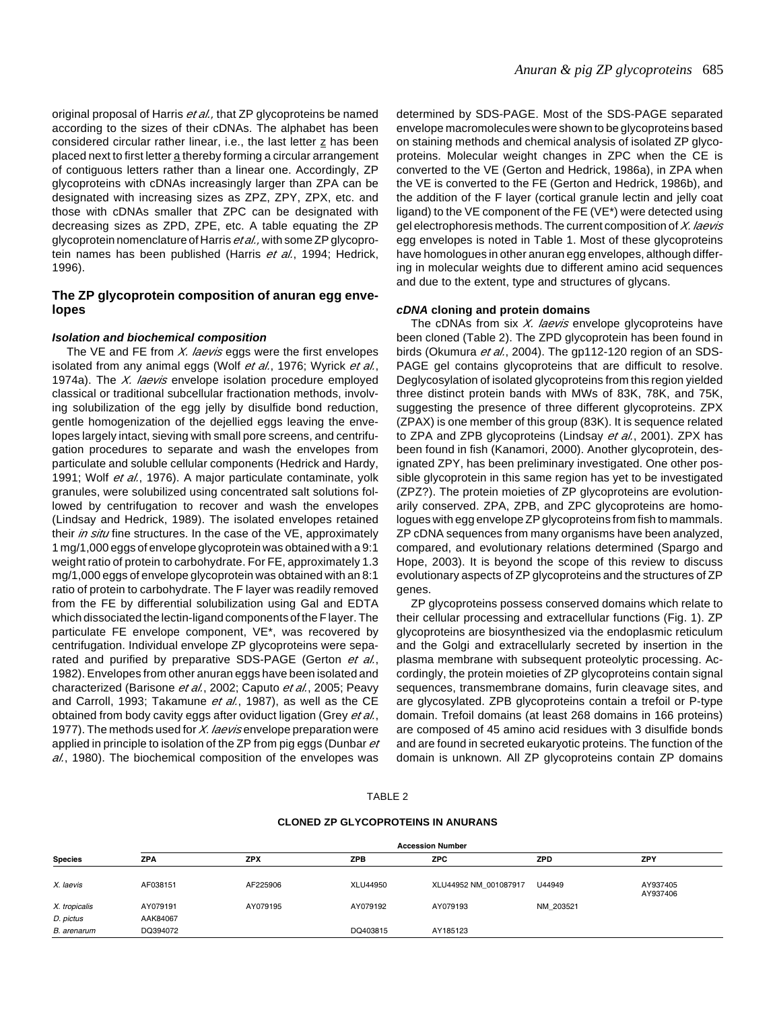original proposal of Harris *et al.,* that ZP glycoproteins be named according to the sizes of their cDNAs. The alphabet has been considered circular rather linear, i.e., the last letter z has been placed next to first letter a thereby forming a circular arrangement of contiguous letters rather than a linear one. Accordingly, ZP glycoproteins with cDNAs increasingly larger than ZPA can be designated with increasing sizes as ZPZ, ZPY, ZPX, etc. and those with cDNAs smaller that ZPC can be designated with decreasing sizes as ZPD, ZPE, etc. A table equating the ZP glycoprotein nomenclature of Harris *et al.,* with some ZP glycoprotein names has been published (Harris *et al.*, 1994; Hedrick, 1996).

# **The ZP glycoprotein composition of anuran egg envelopes**

## *Isolation and biochemical composition*

The VE and FE from *X. laevis* eggs were the first envelopes isolated from any animal eggs (Wolf *et al.*, 1976; Wyrick *et al.*, 1974a). The *X. laevis* envelope isolation procedure employed classical or traditional subcellular fractionation methods, involving solubilization of the egg jelly by disulfide bond reduction, gentle homogenization of the dejellied eggs leaving the envelopes largely intact, sieving with small pore screens, and centrifugation procedures to separate and wash the envelopes from particulate and soluble cellular components (Hedrick and Hardy, 1991; Wolf *et al.*, 1976). A major particulate contaminate, yolk granules, were solubilized using concentrated salt solutions followed by centrifugation to recover and wash the envelopes (Lindsay and Hedrick, 1989). The isolated envelopes retained their *in situ* fine structures. In the case of the VE, approximately 1 mg/1,000 eggs of envelope glycoprotein was obtained with a 9:1 weight ratio of protein to carbohydrate. For FE, approximately 1.3 mg/1,000 eggs of envelope glycoprotein was obtained with an 8:1 ratio of protein to carbohydrate. The F layer was readily removed from the FE by differential solubilization using Gal and EDTA which dissociated the lectin-ligand components of the F layer. The particulate FE envelope component, VE\*, was recovered by centrifugation. Individual envelope ZP glycoproteins were separated and purified by preparative SDS-PAGE (Gerton *et al.*, 1982). Envelopes from other anuran eggs have been isolated and characterized (Barisone *et al.*, 2002; Caputo *et al.*, 2005; Peavy and Carroll, 1993; Takamune *et al.*, 1987), as well as the CE obtained from body cavity eggs after oviduct ligation (Grey *et al.*, 1977). The methods used for *X. laevis* envelope preparation were applied in principle to isolation of the ZP from pig eggs (Dunbar *et al.*, 1980). The biochemical composition of the envelopes was

determined by SDS-PAGE. Most of the SDS-PAGE separated envelope macromolecules were shown to be glycoproteins based on staining methods and chemical analysis of isolated ZP glycoproteins. Molecular weight changes in ZPC when the CE is converted to the VE (Gerton and Hedrick, 1986a), in ZPA when the VE is converted to the FE (Gerton and Hedrick, 1986b), and the addition of the F layer (cortical granule lectin and jelly coat ligand) to the VE component of the FE (VE\*) were detected using gel electrophoresis methods. The current composition of *X. laevis* egg envelopes is noted in Table 1. Most of these glycoproteins have homologues in other anuran egg envelopes, although differing in molecular weights due to different amino acid sequences and due to the extent, type and structures of glycans.

## *cDNA* **cloning and protein domains**

The cDNAs from six *X. laevis* envelope glycoproteins have been cloned (Table 2). The ZPD glycoprotein has been found in birds (Okumura *et al.*, 2004). The gp112-120 region of an SDS-PAGE gel contains glycoproteins that are difficult to resolve. Deglycosylation of isolated glycoproteins from this region yielded three distinct protein bands with MWs of 83K, 78K, and 75K, suggesting the presence of three different glycoproteins. ZPX (ZPAX) is one member of this group (83K). It is sequence related to ZPA and ZPB glycoproteins (Lindsay *et al.*, 2001). ZPX has been found in fish (Kanamori, 2000). Another glycoprotein, designated ZPY, has been preliminary investigated. One other possible glycoprotein in this same region has yet to be investigated (ZPZ?). The protein moieties of ZP glycoproteins are evolutionarily conserved. ZPA, ZPB, and ZPC glycoproteins are homologues with egg envelope ZP glycoproteins from fish to mammals. ZP cDNA sequences from many organisms have been analyzed, compared, and evolutionary relations determined (Spargo and Hope, 2003). It is beyond the scope of this review to discuss evolutionary aspects of ZP glycoproteins and the structures of ZP genes.

ZP glycoproteins possess conserved domains which relate to their cellular processing and extracellular functions (Fig. 1). ZP glycoproteins are biosynthesized via the endoplasmic reticulum and the Golgi and extracellularly secreted by insertion in the plasma membrane with subsequent proteolytic processing. Accordingly, the protein moieties of ZP glycoproteins contain signal sequences, transmembrane domains, furin cleavage sites, and are glycosylated. ZPB glycoproteins contain a trefoil or P-type domain. Trefoil domains (at least 268 domains in 166 proteins) are composed of 45 amino acid residues with 3 disulfide bonds and are found in secreted eukaryotic proteins. The function of the domain is unknown. All ZP glycoproteins contain ZP domains

### TABLE 2

#### **CLONED ZP GLYCOPROTEINS IN ANURANS**

|                |            | <b>Accession Number</b> |            |                       |            |                      |
|----------------|------------|-------------------------|------------|-----------------------|------------|----------------------|
| <b>Species</b> | <b>ZPA</b> | <b>ZPX</b>              | <b>ZPB</b> | <b>ZPC</b>            | <b>ZPD</b> | <b>ZPY</b>           |
|                |            |                         |            |                       |            |                      |
| X. laevis      | AF038151   | AF225906                | XLU44950   | XLU44952 NM 001087917 | U44949     | AY937405<br>AY937406 |
| X. tropicalis  | AY079191   | AY079195                | AY079192   | AY079193              | NM 203521  |                      |
| D. pictus      | AAK84067   |                         |            |                       |            |                      |
| B. arenarum    | DQ394072   |                         | DQ403815   | AY185123              |            |                      |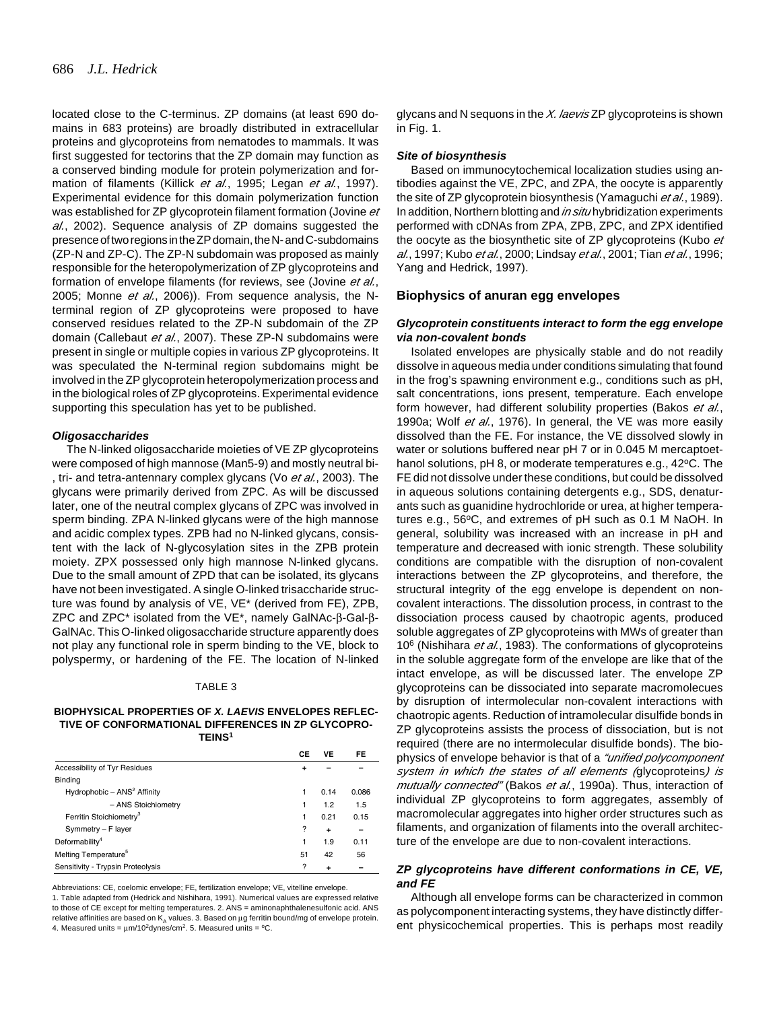located close to the C-terminus. ZP domains (at least 690 domains in 683 proteins) are broadly distributed in extracellular proteins and glycoproteins from nematodes to mammals. It was first suggested for tectorins that the ZP domain may function as a conserved binding module for protein polymerization and formation of filaments (Killick *et al.*, 1995; Legan *et al.*, 1997). Experimental evidence for this domain polymerization function was established for ZP glycoprotein filament formation (Jovine *et al.*, 2002). Sequence analysis of ZP domains suggested the presence of two regions in the ZP domain, the N- and C-subdomains (ZP-N and ZP-C). The ZP-N subdomain was proposed as mainly responsible for the heteropolymerization of ZP glycoproteins and formation of envelope filaments (for reviews, see (Jovine *et al.*, 2005; Monne *et al.*, 2006)). From sequence analysis, the Nterminal region of ZP glycoproteins were proposed to have conserved residues related to the ZP-N subdomain of the ZP domain (Callebaut *et al.*, 2007). These ZP-N subdomains were present in single or multiple copies in various ZP glycoproteins. It was speculated the N-terminal region subdomains might be involved in the ZP glycoprotein heteropolymerization process and in the biological roles of ZP glycoproteins. Experimental evidence supporting this speculation has yet to be published.

#### *Oligosaccharides*

The N-linked oligosaccharide moieties of VE ZP glycoproteins were composed of high mannose (Man5-9) and mostly neutral bi- , tri- and tetra-antennary complex glycans (Vo *et al.*, 2003). The glycans were primarily derived from ZPC. As will be discussed later, one of the neutral complex glycans of ZPC was involved in sperm binding. ZPA N-linked glycans were of the high mannose and acidic complex types. ZPB had no N-linked glycans, consistent with the lack of N-glycosylation sites in the ZPB protein moiety. ZPX possessed only high mannose N-linked glycans. Due to the small amount of ZPD that can be isolated, its glycans have not been investigated. A single O-linked trisaccharide structure was found by analysis of VE, VE\* (derived from FE), ZPB, ZPC and ZPC\* isolated from the VE\*, namely GalNAc-β-Gal-β-GalNAc. This O-linked oligosaccharide structure apparently does not play any functional role in sperm binding to the VE, block to polyspermy, or hardening of the FE. The location of N-linked

#### TABLE 3

#### **BIOPHYSICAL PROPERTIES OF** *X. LAEVIS* **ENVELOPES REFLEC-TIVE OF CONFORMATIONAL DIFFERENCES IN ZP GLYCOPRO-TEINS1**

|                                           | СE | VE        | FE.   |
|-------------------------------------------|----|-----------|-------|
| Accessibility of Tyr Residues             |    |           |       |
| Binding                                   |    |           |       |
| Hydrophobic $-$ ANS <sup>2</sup> Affinity |    | 0.14      | 0.086 |
| - ANS Stoichiometry                       | 1  | 1.2       | 1.5   |
| Ferritin Stoichiometry <sup>3</sup>       | 1  | 0.21      | 0.15  |
| Symmetry - F layer                        | ?  | $\ddot{}$ |       |
| Deformability <sup>4</sup>                |    | 1.9       | 0.11  |
| Melting Temperature <sup>5</sup>          |    | 42        | 56    |
| Sensitivity - Trypsin Proteolysis         | ?  | $\ddot{}$ |       |

Abbreviations: CE, coelomic envelope; FE, fertilization envelope; VE, vitelline envelope. 1. Table adapted from (Hedrick and Nishihara, 1991). Numerical values are expressed relative to those of CE except for melting temperatures. 2. ANS = aminonaphthalenesulfonic acid. ANS relative affinities are based on  $K_A$  values. 3. Based on  $\mu$ g ferritin bound/mg of envelope protein. 4. Measured units =  $\mu$ m/10<sup>2</sup>dynes/cm<sup>2</sup>. 5. Measured units = °C.

glycans and N sequons in the *X. laevis* ZP glycoproteins is shown in Fig. 1.

## *Site of biosynthesis*

Based on immunocytochemical localization studies using antibodies against the VE, ZPC, and ZPA, the oocyte is apparently the site of ZP glycoprotein biosynthesis (Yamaguchi *et al.*, 1989). In addition, Northern blotting and *in situ* hybridization experiments performed with cDNAs from ZPA, ZPB, ZPC, and ZPX identified the oocyte as the biosynthetic site of ZP glycoproteins (Kubo *et al.*, 1997; Kubo *et al.*, 2000; Lindsay *et al.*, 2001; Tian *et al.*, 1996; Yang and Hedrick, 1997).

## **Biophysics of anuran egg envelopes**

## *Glycoprotein constituents interact to form the egg envelope via non-covalent bonds*

Isolated envelopes are physically stable and do not readily dissolve in aqueous media under conditions simulating that found in the frog's spawning environment e.g., conditions such as pH, salt concentrations, ions present, temperature. Each envelope form however, had different solubility properties (Bakos *et al.*, 1990a; Wolf *et al.*, 1976). In general, the VE was more easily dissolved than the FE. For instance, the VE dissolved slowly in water or solutions buffered near pH 7 or in 0.045 M mercaptoethanol solutions, pH 8, or moderate temperatures e.g., 42°C. The FE did not dissolve under these conditions, but could be dissolved in aqueous solutions containing detergents e.g., SDS, denaturants such as guanidine hydrochloride or urea, at higher temperatures e.g.,  $56^{\circ}$ C, and extremes of pH such as 0.1 M NaOH. In general, solubility was increased with an increase in pH and temperature and decreased with ionic strength. These solubility conditions are compatible with the disruption of non-covalent interactions between the ZP glycoproteins, and therefore, the structural integrity of the egg envelope is dependent on noncovalent interactions. The dissolution process, in contrast to the dissociation process caused by chaotropic agents, produced soluble aggregates of ZP glycoproteins with MWs of greater than 106 (Nishihara *et al.*, 1983). The conformations of glycoproteins in the soluble aggregate form of the envelope are like that of the intact envelope, as will be discussed later. The envelope ZP glycoproteins can be dissociated into separate macromolecues by disruption of intermolecular non-covalent interactions with chaotropic agents. Reduction of intramolecular disulfide bonds in ZP glycoproteins assists the process of dissociation, but is not required (there are no intermolecular disulfide bonds). The biophysics of envelope behavior is that of a *"unified polycomponent system in which the states of all elements (*glycoproteins*) is mutually connected"* (Bakos *et al.*, 1990a). Thus, interaction of individual ZP glycoproteins to form aggregates, assembly of macromolecular aggregates into higher order structures such as filaments, and organization of filaments into the overall architecture of the envelope are due to non-covalent interactions.

# *ZP glycoproteins have different conformations in CE, VE, and FE*

Although all envelope forms can be characterized in common as polycomponent interacting systems, they have distinctly different physicochemical properties. This is perhaps most readily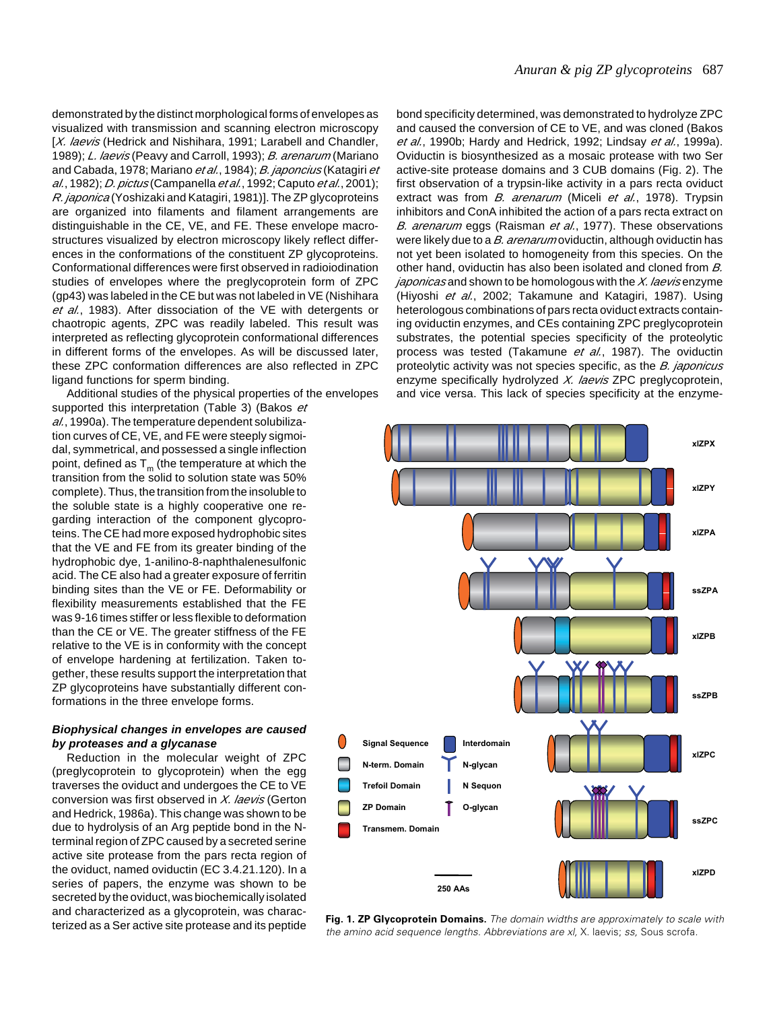demonstrated by the distinct morphological forms of envelopes as visualized with transmission and scanning electron microscopy [X. laevis (Hedrick and Nishihara, 1991; Larabell and Chandler, 1989); *L. laevis* (Peavy and Carroll, 1993); *B. arenarum* (Mariano and Cabada, 1978; Mariano *et al.*, 1984); *B. japoncius* (Katagiri *et al.*, 1982); *D. pictus* (Campanella *et al.*, 1992; Caputo *et al.*, 2001); *R. japonica* (Yoshizaki and Katagiri, 1981)]. The ZP glycoproteins are organized into filaments and filament arrangements are distinguishable in the CE, VE, and FE. These envelope macrostructures visualized by electron microscopy likely reflect differences in the conformations of the constituent ZP glycoproteins. Conformational differences were first observed in radioiodination studies of envelopes where the preglycoprotein form of ZPC (gp43) was labeled in the CE but was not labeled in VE (Nishihara *et al.*, 1983). After dissociation of the VE with detergents or chaotropic agents, ZPC was readily labeled. This result was interpreted as reflecting glycoprotein conformational differences in different forms of the envelopes. As will be discussed later, these ZPC conformation differences are also reflected in ZPC ligand functions for sperm binding.

Additional studies of the physical properties of the envelopes

supported this interpretation (Table 3) (Bakos *et al.*, 1990a). The temperature dependent solubilization curves of CE, VE, and FE were steeply sigmoidal, symmetrical, and possessed a single inflection point, defined as  $T_m$  (the temperature at which the transition from the solid to solution state was 50% complete). Thus, the transition from the insoluble to the soluble state is a highly cooperative one regarding interaction of the component glycoproteins. The CE had more exposed hydrophobic sites that the VE and FE from its greater binding of the hydrophobic dye, 1-anilino-8-naphthalenesulfonic acid. The CE also had a greater exposure of ferritin binding sites than the VE or FE. Deformability or flexibility measurements established that the FE was 9-16 times stiffer or less flexible to deformation than the CE or VE. The greater stiffness of the FE relative to the VE is in conformity with the concept of envelope hardening at fertilization. Taken together, these results support the interpretation that ZP glycoproteins have substantially different conformations in the three envelope forms.

## *Biophysical changes in envelopes are caused by proteases and a glycanase*

Reduction in the molecular weight of ZPC (preglycoprotein to glycoprotein) when the egg traverses the oviduct and undergoes the CE to VE conversion was first observed in *X. laevis* (Gerton and Hedrick, 1986a). This change was shown to be due to hydrolysis of an Arg peptide bond in the Nterminal region of ZPC caused by a secreted serine active site protease from the pars recta region of the oviduct, named oviductin (EC 3.4.21.120). In a series of papers, the enzyme was shown to be secreted by the oviduct, was biochemically isolated and characterized as a glycoprotein, was characterized as a Ser active site protease and its peptide

bond specificity determined, was demonstrated to hydrolyze ZPC and caused the conversion of CE to VE, and was cloned (Bakos *et al.*, 1990b; Hardy and Hedrick, 1992; Lindsay *et al.*, 1999a). Oviductin is biosynthesized as a mosaic protease with two Ser active-site protease domains and 3 CUB domains (Fig. 2). The first observation of a trypsin-like activity in a pars recta oviduct extract was from *B. arenarum* (Miceli *et al.*, 1978). Trypsin inhibitors and ConA inhibited the action of a pars recta extract on *B. arenarum* eggs (Raisman *et al.*, 1977). These observations were likely due to a *B. arenarum* oviductin, although oviductin has not yet been isolated to homogeneity from this species. On the other hand, oviductin has also been isolated and cloned from *B. japonicas* and shown to be homologous with the *X. laevis* enzyme (Hiyoshi *et al.*, 2002; Takamune and Katagiri, 1987). Using heterologous combinations of pars recta oviduct extracts containing oviductin enzymes, and CEs containing ZPC preglycoprotein substrates, the potential species specificity of the proteolytic process was tested (Takamune *et al.*, 1987). The oviductin proteolytic activity was not species specific, as the *B. japonicus* enzyme specifically hydrolyzed *X. laevis* ZPC preglycoprotein, and vice versa. This lack of species specificity at the enzyme-



**Fig. 1. ZP Glycoprotein Domains.** The domain widths are approximately to scale with the amino acid sequence lengths. Abbreviations are xl, X. laevis; ss, Sous scrofa.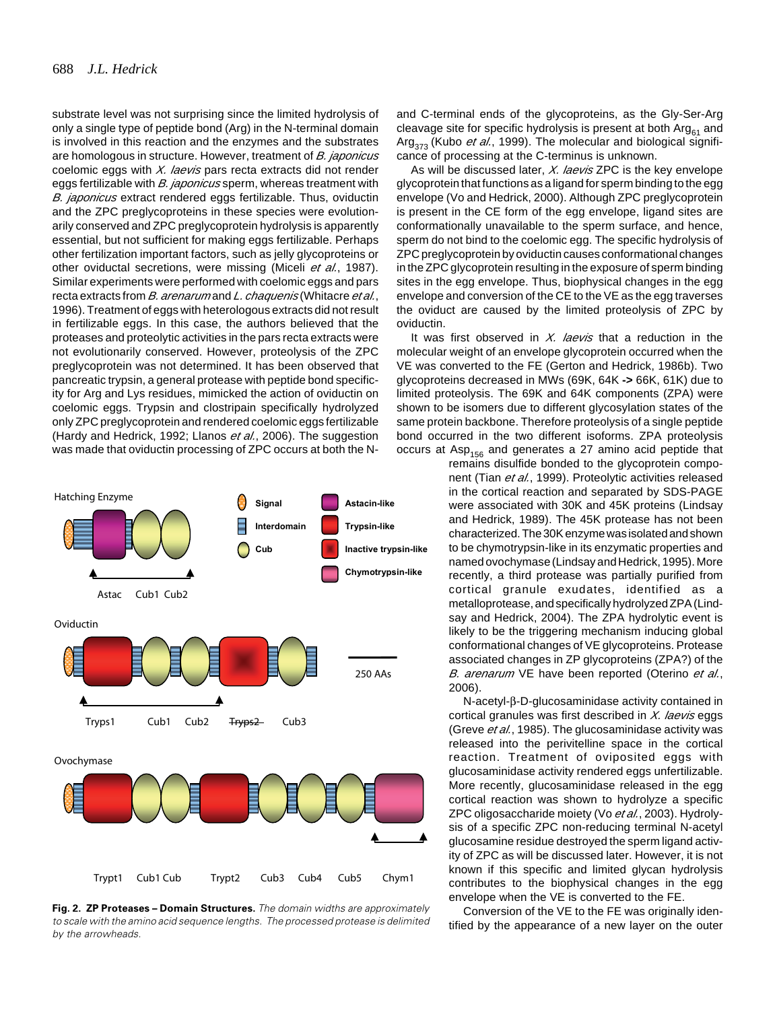substrate level was not surprising since the limited hydrolysis of only a single type of peptide bond (Arg) in the N-terminal domain is involved in this reaction and the enzymes and the substrates are homologous in structure. However, treatment of *B. japonicus* coelomic eggs with *X. laevis* pars recta extracts did not render eggs fertilizable with *B. japonicus* sperm, whereas treatment with *B. japonicus* extract rendered eggs fertilizable. Thus, oviductin and the ZPC preglycoproteins in these species were evolutionarily conserved and ZPC preglycoprotein hydrolysis is apparently essential, but not sufficient for making eggs fertilizable. Perhaps other fertilization important factors, such as jelly glycoproteins or other oviductal secretions, were missing (Miceli *et al.*, 1987). Similar experiments were performed with coelomic eggs and pars recta extracts from *B. arenarum* and *L. chaquenis* (Whitacre *et al.*, 1996). Treatment of eggs with heterologous extracts did not result in fertilizable eggs. In this case, the authors believed that the proteases and proteolytic activities in the pars recta extracts were not evolutionarily conserved. However, proteolysis of the ZPC preglycoprotein was not determined. It has been observed that pancreatic trypsin, a general protease with peptide bond specificity for Arg and Lys residues, mimicked the action of oviductin on coelomic eggs. Trypsin and clostripain specifically hydrolyzed only ZPC preglycoprotein and rendered coelomic eggs fertilizable (Hardy and Hedrick, 1992; Llanos *et al.*, 2006). The suggestion was made that oviductin processing of ZPC occurs at both the N-



**Fig. 2. ZP Proteases – Domain Structures.** The domain widths are approximately to scale with the amino acid sequence lengths. The processed protease is delimited by the arrowheads.

and C-terminal ends of the glycoproteins, as the Gly-Ser-Arg cleavage site for specific hydrolysis is present at both  $Arg_{61}$  and Arg<sub>373</sub> (Kubo *et al.*, 1999). The molecular and biological significance of processing at the C-terminus is unknown.

As will be discussed later, *X. laevis* ZPC is the key envelope glycoprotein that functions as a ligand for sperm binding to the egg envelope (Vo and Hedrick, 2000). Although ZPC preglycoprotein is present in the CE form of the egg envelope, ligand sites are conformationally unavailable to the sperm surface, and hence, sperm do not bind to the coelomic egg. The specific hydrolysis of ZPC preglycoprotein by oviductin causes conformational changes in the ZPC glycoprotein resulting in the exposure of sperm binding sites in the egg envelope. Thus, biophysical changes in the egg envelope and conversion of the CE to the VE as the egg traverses the oviduct are caused by the limited proteolysis of ZPC by oviductin.

It was first observed in *X. laevis* that a reduction in the molecular weight of an envelope glycoprotein occurred when the VE was converted to the FE (Gerton and Hedrick, 1986b). Two glycoproteins decreased in MWs (69K, 64K **->** 66K, 61K) due to limited proteolysis. The 69K and 64K components (ZPA) were shown to be isomers due to different glycosylation states of the same protein backbone. Therefore proteolysis of a single peptide bond occurred in the two different isoforms. ZPA proteolysis occurs at Asp<sub>156</sub> and generates a 27 amino acid peptide that

remains disulfide bonded to the glycoprotein component (Tian *et al.*, 1999). Proteolytic activities released in the cortical reaction and separated by SDS-PAGE were associated with 30K and 45K proteins (Lindsay and Hedrick, 1989). The 45K protease has not been characterized. The 30K enzyme was isolated and shown to be chymotrypsin-like in its enzymatic properties and named ovochymase (Lindsay and Hedrick, 1995). More recently, a third protease was partially purified from cortical granule exudates, identified as a metalloprotease, and specifically hydrolyzed ZPA (Lindsay and Hedrick, 2004). The ZPA hydrolytic event is likely to be the triggering mechanism inducing global conformational changes of VE glycoproteins. Protease associated changes in ZP glycoproteins (ZPA?) of the *B. arenarum* VE have been reported (Oterino *et al.*, 2006).

N-acetyl-β-D-glucosaminidase activity contained in cortical granules was first described in *X. laevis* eggs (Greve *et al.*, 1985). The glucosaminidase activity was released into the perivitelline space in the cortical reaction. Treatment of oviposited eggs with glucosaminidase activity rendered eggs unfertilizable. More recently, glucosaminidase released in the egg cortical reaction was shown to hydrolyze a specific ZPC oligosaccharide moiety (Vo *et al.*, 2003). Hydrolysis of a specific ZPC non-reducing terminal N-acetyl glucosamine residue destroyed the sperm ligand activity of ZPC as will be discussed later. However, it is not known if this specific and limited glycan hydrolysis contributes to the biophysical changes in the egg envelope when the VE is converted to the FE.

Conversion of the VE to the FE was originally identified by the appearance of a new layer on the outer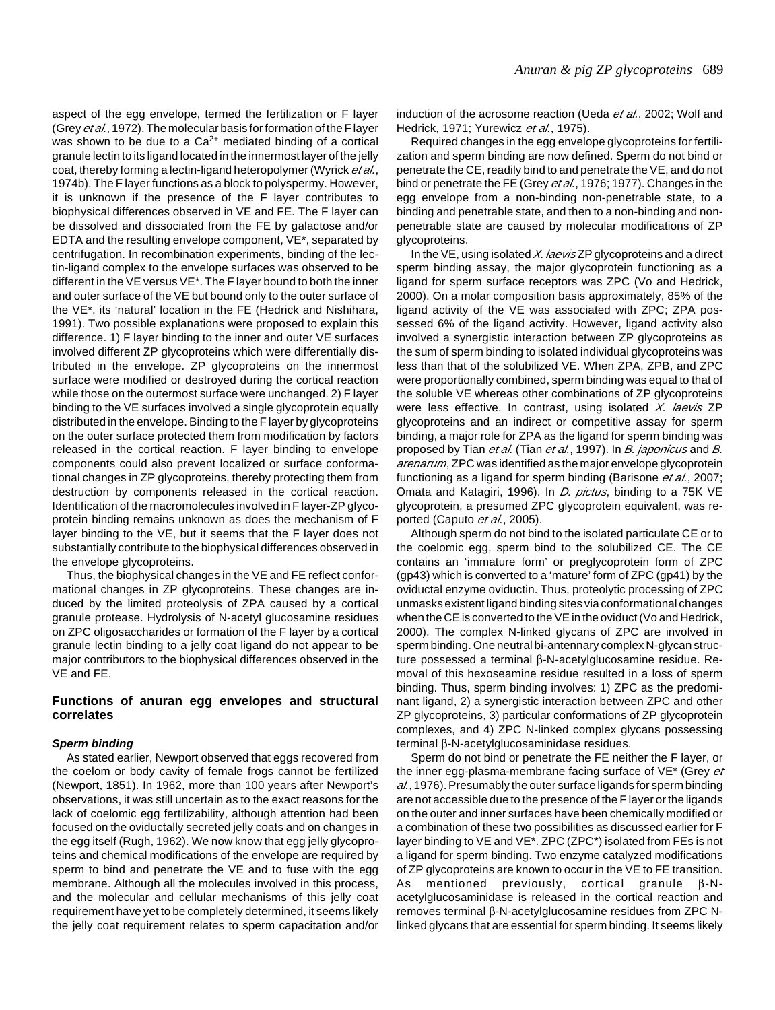aspect of the egg envelope, termed the fertilization or F layer (Grey *et al.*, 1972). The molecular basis for formation of the F layer was shown to be due to a  $Ca<sup>2+</sup>$  mediated binding of a cortical granule lectin to its ligand located in the innermost layer of the jelly coat, thereby forming a lectin-ligand heteropolymer (Wyrick *et al.*, 1974b). The F layer functions as a block to polyspermy. However, it is unknown if the presence of the F layer contributes to biophysical differences observed in VE and FE. The F layer can be dissolved and dissociated from the FE by galactose and/or EDTA and the resulting envelope component, VE\*, separated by centrifugation. In recombination experiments, binding of the lectin-ligand complex to the envelope surfaces was observed to be different in the VE versus VE\*. The F layer bound to both the inner and outer surface of the VE but bound only to the outer surface of the VE\*, its 'natural' location in the FE (Hedrick and Nishihara, 1991). Two possible explanations were proposed to explain this difference. 1) F layer binding to the inner and outer VE surfaces involved different ZP glycoproteins which were differentially distributed in the envelope. ZP glycoproteins on the innermost surface were modified or destroyed during the cortical reaction while those on the outermost surface were unchanged. 2) F layer binding to the VE surfaces involved a single glycoprotein equally distributed in the envelope. Binding to the F layer by glycoproteins on the outer surface protected them from modification by factors released in the cortical reaction. F layer binding to envelope components could also prevent localized or surface conformational changes in ZP glycoproteins, thereby protecting them from destruction by components released in the cortical reaction. Identification of the macromolecules involved in F layer-ZP glycoprotein binding remains unknown as does the mechanism of F layer binding to the VE, but it seems that the F layer does not substantially contribute to the biophysical differences observed in the envelope glycoproteins.

Thus, the biophysical changes in the VE and FE reflect conformational changes in ZP glycoproteins. These changes are induced by the limited proteolysis of ZPA caused by a cortical granule protease. Hydrolysis of N-acetyl glucosamine residues on ZPC oligosaccharides or formation of the F layer by a cortical granule lectin binding to a jelly coat ligand do not appear to be major contributors to the biophysical differences observed in the VE and FE.

# **Functions of anuran egg envelopes and structural correlates**

## *Sperm binding*

As stated earlier, Newport observed that eggs recovered from the coelom or body cavity of female frogs cannot be fertilized (Newport, 1851). In 1962, more than 100 years after Newport's observations, it was still uncertain as to the exact reasons for the lack of coelomic egg fertilizability, although attention had been focused on the oviductally secreted jelly coats and on changes in the egg itself (Rugh, 1962). We now know that egg jelly glycoproteins and chemical modifications of the envelope are required by sperm to bind and penetrate the VE and to fuse with the egg membrane. Although all the molecules involved in this process, and the molecular and cellular mechanisms of this jelly coat requirement have yet to be completely determined, it seems likely the jelly coat requirement relates to sperm capacitation and/or

induction of the acrosome reaction (Ueda *et al.*, 2002; Wolf and Hedrick, 1971; Yurewicz *et al.*, 1975).

Required changes in the egg envelope glycoproteins for fertilization and sperm binding are now defined. Sperm do not bind or penetrate the CE, readily bind to and penetrate the VE, and do not bind or penetrate the FE (Grey *et al.*, 1976; 1977). Changes in the egg envelope from a non-binding non-penetrable state, to a binding and penetrable state, and then to a non-binding and nonpenetrable state are caused by molecular modifications of ZP glycoproteins.

In the VE, using isolated *X. laevis* ZP glycoproteins and a direct sperm binding assay, the major glycoprotein functioning as a ligand for sperm surface receptors was ZPC (Vo and Hedrick, 2000). On a molar composition basis approximately, 85% of the ligand activity of the VE was associated with ZPC; ZPA possessed 6% of the ligand activity. However, ligand activity also involved a synergistic interaction between ZP glycoproteins as the sum of sperm binding to isolated individual glycoproteins was less than that of the solubilized VE. When ZPA, ZPB, and ZPC were proportionally combined, sperm binding was equal to that of the soluble VE whereas other combinations of ZP glycoproteins were less effective. In contrast, using isolated *X. laevis* ZP glycoproteins and an indirect or competitive assay for sperm binding, a major role for ZPA as the ligand for sperm binding was proposed by Tian *et al.* (Tian *et al.*, 1997). In *B. japonicus* and *B. arenarum*, ZPC was identified as the major envelope glycoprotein functioning as a ligand for sperm binding (Barisone *et al.*, 2007; Omata and Katagiri, 1996). In *D. pictus*, binding to a 75K VE glycoprotein, a presumed ZPC glycoprotein equivalent, was reported (Caputo *et al.*, 2005).

Although sperm do not bind to the isolated particulate CE or to the coelomic egg, sperm bind to the solubilized CE. The CE contains an 'immature form' or preglycoprotein form of ZPC (gp43) which is converted to a 'mature' form of ZPC (gp41) by the oviductal enzyme oviductin. Thus, proteolytic processing of ZPC unmasks existent ligand binding sites via conformational changes when the CE is converted to the VE in the oviduct (Vo and Hedrick, 2000). The complex N-linked glycans of ZPC are involved in sperm binding. One neutral bi-antennary complex N-glycan structure possessed a terminal β-N-acetylglucosamine residue. Removal of this hexoseamine residue resulted in a loss of sperm binding. Thus, sperm binding involves: 1) ZPC as the predominant ligand, 2) a synergistic interaction between ZPC and other ZP glycoproteins, 3) particular conformations of ZP glycoprotein complexes, and 4) ZPC N-linked complex glycans possessing terminal β-N-acetylglucosaminidase residues.

Sperm do not bind or penetrate the FE neither the F layer, or the inner egg-plasma-membrane facing surface of VE\* (Grey *et al.*, 1976). Presumably the outer surface ligands for sperm binding are not accessible due to the presence of the F layer or the ligands on the outer and inner surfaces have been chemically modified or a combination of these two possibilities as discussed earlier for F layer binding to VE and VE\*. ZPC (ZPC\*) isolated from FEs is not a ligand for sperm binding. Two enzyme catalyzed modifications of ZP glycoproteins are known to occur in the VE to FE transition. As mentioned previously, cortical granule β-Nacetylglucosaminidase is released in the cortical reaction and removes terminal β-N-acetylglucosamine residues from ZPC Nlinked glycans that are essential for sperm binding. It seems likely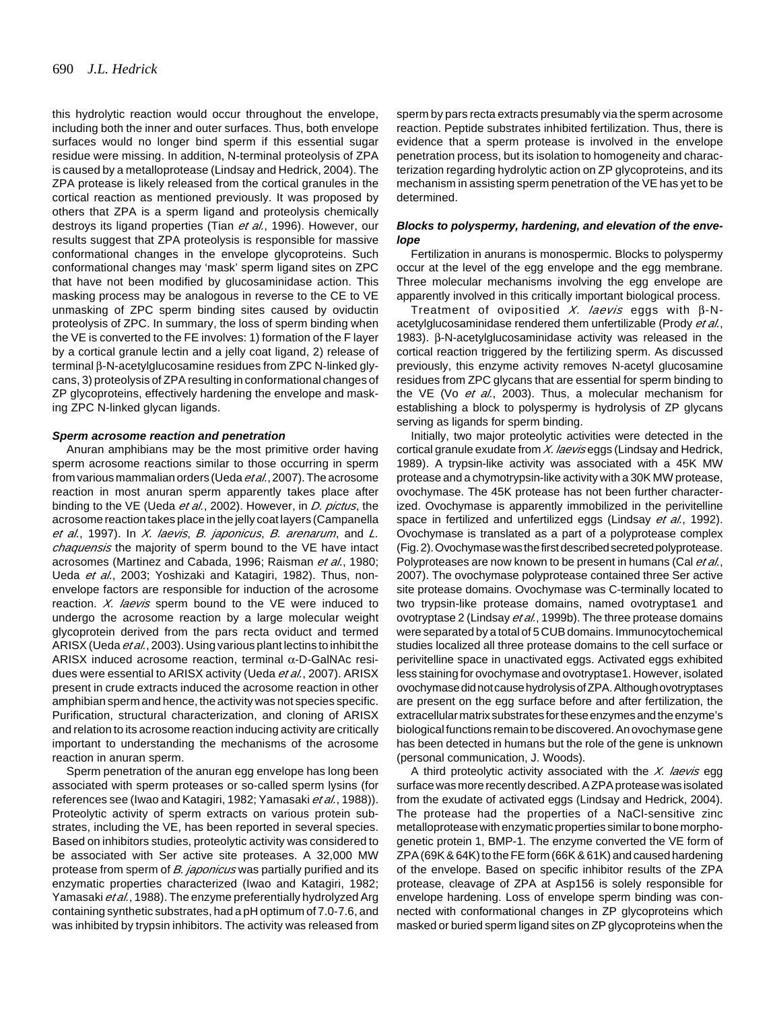this hydrolytic reaction would occur throughout the envelope, including both the inner and outer surfaces. Thus, both envelope surfaces would no longer bind sperm if this essential sugar residue were missing. In addition, N-terminal proteolysis of ZPA is caused by a metalloprotease (Lindsay and Hedrick, 2004). The ZPA protease is likely released from the cortical granules in the cortical reaction as mentioned previously. It was proposed by others that ZPA is a sperm ligand and proteolysis chemically destroys its ligand properties (Tian *et al.*, 1996). However, our results suggest that ZPA proteolysis is responsible for massive conformational changes in the envelope glycoproteins. Such conformational changes may 'mask' sperm ligand sites on ZPC that have not been modified by glucosaminidase action. This masking process may be analogous in reverse to the CE to VE unmasking of ZPC sperm binding sites caused by oviductin proteolysis of ZPC. In summary, the loss of sperm binding when the VE is converted to the FE involves: 1) formation of the F layer by a cortical granule lectin and a jelly coat ligand, 2) release of terminal β-N-acetylglucosamine residues from ZPC N-linked glycans, 3) proteolysis of ZPA resulting in conformational changes of ZP glycoproteins, effectively hardening the envelope and masking ZPC N-linked glycan ligands.

## *Sperm acrosome reaction and penetration*

Anuran amphibians may be the most primitive order having sperm acrosome reactions similar to those occurring in sperm from various mammalian orders (Ueda *et al.*, 2007). The acrosome reaction in most anuran sperm apparently takes place after binding to the VE (Ueda *et al.*, 2002). However, in *D. pictus*, the acrosome reaction takes place in the jelly coat layers (Campanella *et al.*, 1997). In *X. laevis*, *B. japonicus*, *B. arenarum*, and *L. chaquensis* the majority of sperm bound to the VE have intact acrosomes (Martinez and Cabada, 1996; Raisman *et al.*, 1980; Ueda *et al.*, 2003; Yoshizaki and Katagiri, 1982). Thus, nonenvelope factors are responsible for induction of the acrosome reaction. *X. laevis* sperm bound to the VE were induced to undergo the acrosome reaction by a large molecular weight glycoprotein derived from the pars recta oviduct and termed ARISX (Ueda *et al.*, 2003). Using various plant lectins to inhibit the ARISX induced acrosome reaction, terminal α-D-GalNAc residues were essential to ARISX activity (Ueda *et al.*, 2007). ARISX present in crude extracts induced the acrosome reaction in other amphibian sperm and hence, the activity was not species specific. Purification, structural characterization, and cloning of ARISX and relation to its acrosome reaction inducing activity are critically important to understanding the mechanisms of the acrosome reaction in anuran sperm.

Sperm penetration of the anuran egg envelope has long been associated with sperm proteases or so-called sperm lysins (for references see (Iwao and Katagiri, 1982; Yamasaki *et al.*, 1988)). Proteolytic activity of sperm extracts on various protein substrates, including the VE, has been reported in several species. Based on inhibitors studies, proteolytic activity was considered to be associated with Ser active site proteases. A 32,000 MW protease from sperm of *B. japonicus* was partially purified and its enzymatic properties characterized (Iwao and Katagiri, 1982; Yamasaki *et al.*, 1988). The enzyme preferentially hydrolyzed Arg containing synthetic substrates, had a pH optimum of 7.0-7.6, and was inhibited by trypsin inhibitors. The activity was released from

sperm by pars recta extracts presumably via the sperm acrosome reaction. Peptide substrates inhibited fertilization. Thus, there is evidence that a sperm protease is involved in the envelope penetration process, but its isolation to homogeneity and characterization regarding hydrolytic action on ZP glycoproteins, and its mechanism in assisting sperm penetration of the VE has yet to be determined.

## *Blocks to polyspermy, hardening, and elevation of the envelope*

Fertilization in anurans is monospermic. Blocks to polyspermy occur at the level of the egg envelope and the egg membrane. Three molecular mechanisms involving the egg envelope are apparently involved in this critically important biological process.

Treatment of ovipositied *X. laevis* eggs with β-Nacetylglucosaminidase rendered them unfertilizable (Prody *et al.*, 1983). β-N-acetylglucosaminidase activity was released in the cortical reaction triggered by the fertilizing sperm. As discussed previously, this enzyme activity removes N-acetyl glucosamine residues from ZPC glycans that are essential for sperm binding to the VE (Vo *et al.*, 2003). Thus, a molecular mechanism for establishing a block to polyspermy is hydrolysis of ZP glycans serving as ligands for sperm binding.

Initially, two major proteolytic activities were detected in the cortical granule exudate from *X. laevis* eggs (Lindsay and Hedrick, 1989). A trypsin-like activity was associated with a 45K MW protease and a chymotrypsin-like activity with a 30K MW protease, ovochymase. The 45K protease has not been further characterized. Ovochymase is apparently immobilized in the perivitelline space in fertilized and unfertilized eggs (Lindsay *et al.*, 1992). Ovochymase is translated as a part of a polyprotease complex (Fig. 2). Ovochymase was the first described secreted polyprotease. Polyproteases are now known to be present in humans (Cal *et al.*, 2007). The ovochymase polyprotease contained three Ser active site protease domains. Ovochymase was C-terminally located to two trypsin-like protease domains, named ovotryptase1 and ovotryptase 2 (Lindsay *et al.*, 1999b). The three protease domains were separated by a total of 5 CUB domains. Immunocytochemical studies localized all three protease domains to the cell surface or perivitelline space in unactivated eggs. Activated eggs exhibited less staining for ovochymase and ovotryptase1. However, isolated ovochymase did not cause hydrolysis of ZPA. Although ovotryptases are present on the egg surface before and after fertilization, the extracellular matrix substrates for these enzymes and the enzyme's biological functions remain to be discovered. An ovochymase gene has been detected in humans but the role of the gene is unknown (personal communication, J. Woods).

A third proteolytic activity associated with the *X. laevis* egg surface was more recently described. A ZPA protease was isolated from the exudate of activated eggs (Lindsay and Hedrick, 2004). The protease had the properties of a NaCl-sensitive zinc metalloprotease with enzymatic properties similar to bone morphogenetic protein 1, BMP-1. The enzyme converted the VE form of ZPA (69K & 64K) to the FE form (66K & 61K) and caused hardening of the envelope. Based on specific inhibitor results of the ZPA protease, cleavage of ZPA at Asp156 is solely responsible for envelope hardening. Loss of envelope sperm binding was connected with conformational changes in ZP glycoproteins which masked or buried sperm ligand sites on ZP glycoproteins when the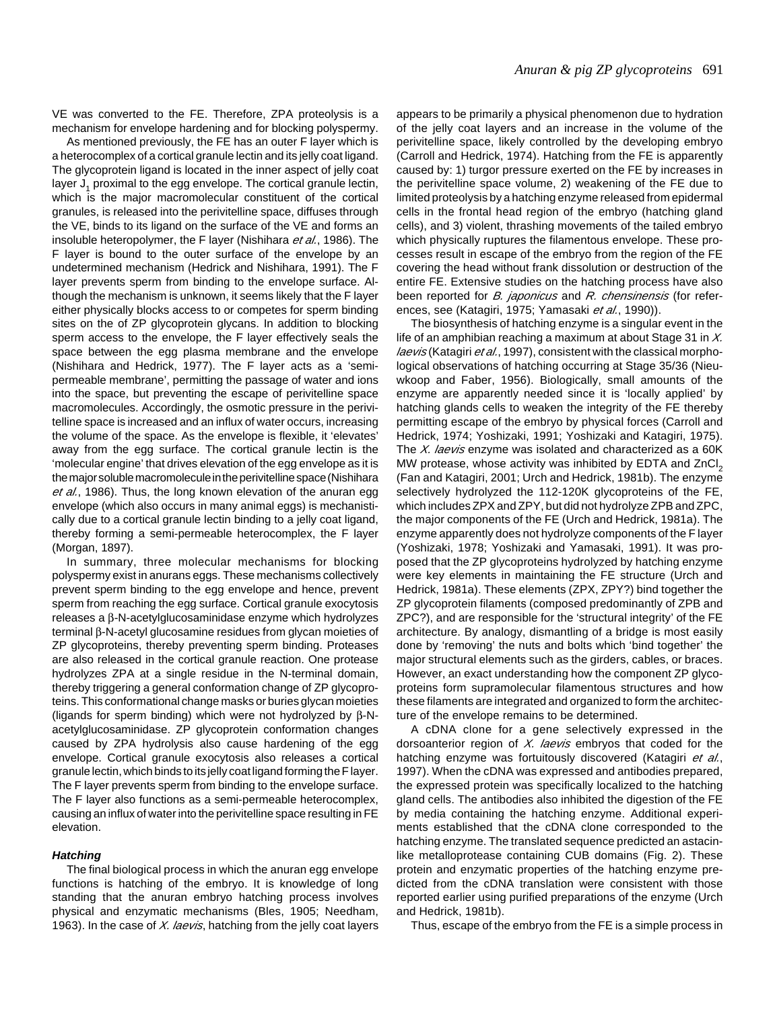VE was converted to the FE. Therefore, ZPA proteolysis is a mechanism for envelope hardening and for blocking polyspermy.

As mentioned previously, the FE has an outer F layer which is a heterocomplex of a cortical granule lectin and its jelly coat ligand. The glycoprotein ligand is located in the inner aspect of jelly coat layer  $J<sub>1</sub>$  proximal to the egg envelope. The cortical granule lectin, which is the major macromolecular constituent of the cortical granules, is released into the perivitelline space, diffuses through the VE, binds to its ligand on the surface of the VE and forms an insoluble heteropolymer, the F layer (Nishihara *et al.*, 1986). The F layer is bound to the outer surface of the envelope by an undetermined mechanism (Hedrick and Nishihara, 1991). The F layer prevents sperm from binding to the envelope surface. Although the mechanism is unknown, it seems likely that the F layer either physically blocks access to or competes for sperm binding sites on the of ZP glycoprotein glycans. In addition to blocking sperm access to the envelope, the F layer effectively seals the space between the egg plasma membrane and the envelope (Nishihara and Hedrick, 1977). The F layer acts as a 'semipermeable membrane', permitting the passage of water and ions into the space, but preventing the escape of perivitelline space macromolecules. Accordingly, the osmotic pressure in the perivitelline space is increased and an influx of water occurs, increasing the volume of the space. As the envelope is flexible, it 'elevates' away from the egg surface. The cortical granule lectin is the 'molecular engine' that drives elevation of the egg envelope as it is the major soluble macromolecule in the perivitelline space (Nishihara *et al.*, 1986). Thus, the long known elevation of the anuran egg envelope (which also occurs in many animal eggs) is mechanistically due to a cortical granule lectin binding to a jelly coat ligand, thereby forming a semi-permeable heterocomplex, the F layer (Morgan, 1897).

In summary, three molecular mechanisms for blocking polyspermy exist in anurans eggs. These mechanisms collectively prevent sperm binding to the egg envelope and hence, prevent sperm from reaching the egg surface. Cortical granule exocytosis releases a β-N-acetylglucosaminidase enzyme which hydrolyzes terminal β-N-acetyl glucosamine residues from glycan moieties of ZP glycoproteins, thereby preventing sperm binding. Proteases are also released in the cortical granule reaction. One protease hydrolyzes ZPA at a single residue in the N-terminal domain, thereby triggering a general conformation change of ZP glycoproteins. This conformational change masks or buries glycan moieties (ligands for sperm binding) which were not hydrolyzed by β-Nacetylglucosaminidase. ZP glycoprotein conformation changes caused by ZPA hydrolysis also cause hardening of the egg envelope. Cortical granule exocytosis also releases a cortical granule lectin, which binds to its jelly coat ligand forming the F layer. The F layer prevents sperm from binding to the envelope surface. The F layer also functions as a semi-permeable heterocomplex, causing an influx of water into the perivitelline space resulting in FE elevation.

## *Hatching*

The final biological process in which the anuran egg envelope functions is hatching of the embryo. It is knowledge of long standing that the anuran embryo hatching process involves physical and enzymatic mechanisms (Bles, 1905; Needham, 1963). In the case of *X. laevis*, hatching from the jelly coat layers appears to be primarily a physical phenomenon due to hydration of the jelly coat layers and an increase in the volume of the perivitelline space, likely controlled by the developing embryo (Carroll and Hedrick, 1974). Hatching from the FE is apparently caused by: 1) turgor pressure exerted on the FE by increases in the perivitelline space volume, 2) weakening of the FE due to limited proteolysis by a hatching enzyme released from epidermal cells in the frontal head region of the embryo (hatching gland cells), and 3) violent, thrashing movements of the tailed embryo which physically ruptures the filamentous envelope. These processes result in escape of the embryo from the region of the FE covering the head without frank dissolution or destruction of the entire FE. Extensive studies on the hatching process have also been reported for *B. japonicus* and *R. chensinensis* (for references, see (Katagiri, 1975; Yamasaki *et al.*, 1990)).

The biosynthesis of hatching enzyme is a singular event in the life of an amphibian reaching a maximum at about Stage 31 in *X. laevis* (Katagiri *et al.*, 1997), consistent with the classical morphological observations of hatching occurring at Stage 35/36 (Nieuwkoop and Faber, 1956). Biologically, small amounts of the enzyme are apparently needed since it is 'locally applied' by hatching glands cells to weaken the integrity of the FE thereby permitting escape of the embryo by physical forces (Carroll and Hedrick, 1974; Yoshizaki, 1991; Yoshizaki and Katagiri, 1975). The *X. laevis* enzyme was isolated and characterized as a 60K MW protease, whose activity was inhibited by EDTA and ZnCl<sub>2</sub> (Fan and Katagiri, 2001; Urch and Hedrick, 1981b). The enzyme selectively hydrolyzed the 112-120K glycoproteins of the FE, which includes ZPX and ZPY, but did not hydrolyze ZPB and ZPC, the major components of the FE (Urch and Hedrick, 1981a). The enzyme apparently does not hydrolyze components of the F layer (Yoshizaki, 1978; Yoshizaki and Yamasaki, 1991). It was proposed that the ZP glycoproteins hydrolyzed by hatching enzyme were key elements in maintaining the FE structure (Urch and Hedrick, 1981a). These elements (ZPX, ZPY?) bind together the ZP glycoprotein filaments (composed predominantly of ZPB and ZPC?), and are responsible for the 'structural integrity' of the FE architecture. By analogy, dismantling of a bridge is most easily done by 'removing' the nuts and bolts which 'bind together' the major structural elements such as the girders, cables, or braces. However, an exact understanding how the component ZP glycoproteins form supramolecular filamentous structures and how these filaments are integrated and organized to form the architecture of the envelope remains to be determined.

A cDNA clone for a gene selectively expressed in the dorsoanterior region of *X. laevis* embryos that coded for the hatching enzyme was fortuitously discovered (Katagiri *et al.*, 1997). When the cDNA was expressed and antibodies prepared, the expressed protein was specifically localized to the hatching gland cells. The antibodies also inhibited the digestion of the FE by media containing the hatching enzyme. Additional experiments established that the cDNA clone corresponded to the hatching enzyme. The translated sequence predicted an astacinlike metalloprotease containing CUB domains (Fig. 2). These protein and enzymatic properties of the hatching enzyme predicted from the cDNA translation were consistent with those reported earlier using purified preparations of the enzyme (Urch and Hedrick, 1981b).

Thus, escape of the embryo from the FE is a simple process in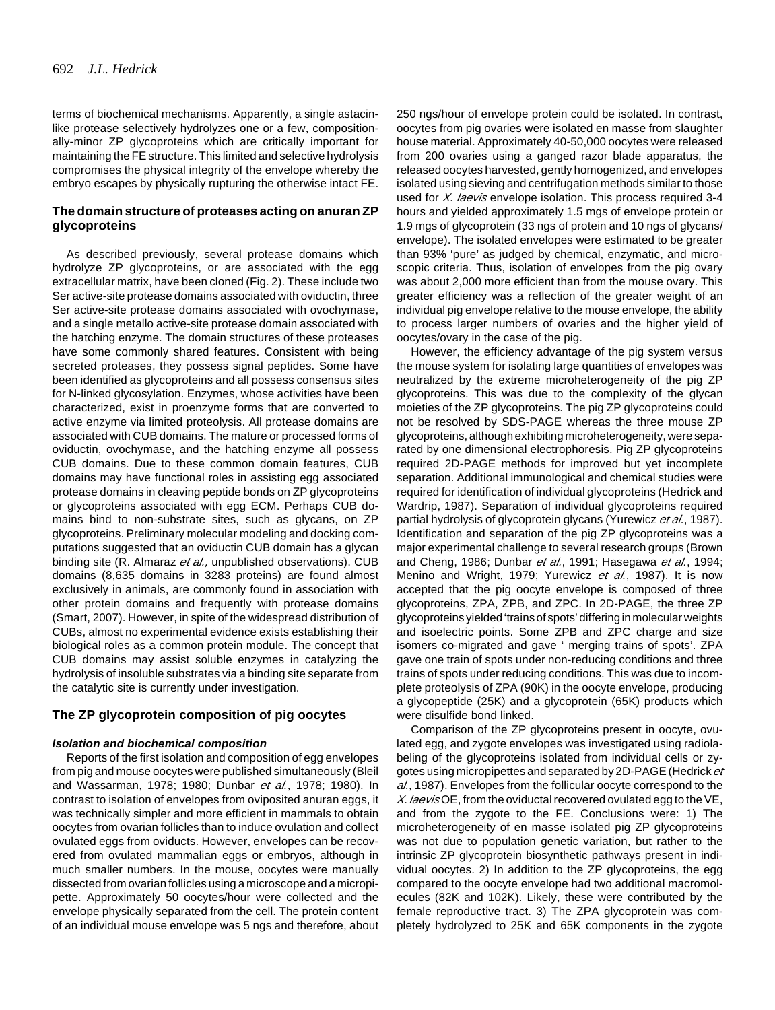terms of biochemical mechanisms. Apparently, a single astacinlike protease selectively hydrolyzes one or a few, compositionally-minor ZP glycoproteins which are critically important for maintaining the FE structure. This limited and selective hydrolysis compromises the physical integrity of the envelope whereby the embryo escapes by physically rupturing the otherwise intact FE.

# **The domain structure of proteases acting on anuran ZP glycoproteins**

As described previously, several protease domains which hydrolyze ZP glycoproteins, or are associated with the egg extracellular matrix, have been cloned (Fig. 2). These include two Ser active-site protease domains associated with oviductin, three Ser active-site protease domains associated with ovochymase, and a single metallo active-site protease domain associated with the hatching enzyme. The domain structures of these proteases have some commonly shared features. Consistent with being secreted proteases, they possess signal peptides. Some have been identified as glycoproteins and all possess consensus sites for N-linked glycosylation. Enzymes, whose activities have been characterized, exist in proenzyme forms that are converted to active enzyme via limited proteolysis. All protease domains are associated with CUB domains. The mature or processed forms of oviductin, ovochymase, and the hatching enzyme all possess CUB domains. Due to these common domain features, CUB domains may have functional roles in assisting egg associated protease domains in cleaving peptide bonds on ZP glycoproteins or glycoproteins associated with egg ECM. Perhaps CUB domains bind to non-substrate sites, such as glycans, on ZP glycoproteins. Preliminary molecular modeling and docking computations suggested that an oviductin CUB domain has a glycan binding site (R. Almaraz *et al.,* unpublished observations). CUB domains (8,635 domains in 3283 proteins) are found almost exclusively in animals, are commonly found in association with other protein domains and frequently with protease domains (Smart, 2007). However, in spite of the widespread distribution of CUBs, almost no experimental evidence exists establishing their biological roles as a common protein module. The concept that CUB domains may assist soluble enzymes in catalyzing the hydrolysis of insoluble substrates via a binding site separate from the catalytic site is currently under investigation.

## **The ZP glycoprotein composition of pig oocytes**

## *Isolation and biochemical composition*

Reports of the first isolation and composition of egg envelopes from pig and mouse oocytes were published simultaneously (Bleil and Wassarman, 1978; 1980; Dunbar *et al.*, 1978; 1980). In contrast to isolation of envelopes from oviposited anuran eggs, it was technically simpler and more efficient in mammals to obtain oocytes from ovarian follicles than to induce ovulation and collect ovulated eggs from oviducts. However, envelopes can be recovered from ovulated mammalian eggs or embryos, although in much smaller numbers. In the mouse, oocytes were manually dissected from ovarian follicles using a microscope and a micropipette. Approximately 50 oocytes/hour were collected and the envelope physically separated from the cell. The protein content of an individual mouse envelope was 5 ngs and therefore, about

250 ngs/hour of envelope protein could be isolated. In contrast, oocytes from pig ovaries were isolated en masse from slaughter house material. Approximately 40-50,000 oocytes were released from 200 ovaries using a ganged razor blade apparatus, the released oocytes harvested, gently homogenized, and envelopes isolated using sieving and centrifugation methods similar to those used for *X. laevis* envelope isolation. This process required 3-4 hours and yielded approximately 1.5 mgs of envelope protein or 1.9 mgs of glycoprotein (33 ngs of protein and 10 ngs of glycans/ envelope). The isolated envelopes were estimated to be greater than 93% 'pure' as judged by chemical, enzymatic, and microscopic criteria. Thus, isolation of envelopes from the pig ovary was about 2,000 more efficient than from the mouse ovary. This greater efficiency was a reflection of the greater weight of an individual pig envelope relative to the mouse envelope, the ability to process larger numbers of ovaries and the higher yield of oocytes/ovary in the case of the pig.

However, the efficiency advantage of the pig system versus the mouse system for isolating large quantities of envelopes was neutralized by the extreme microheterogeneity of the pig ZP glycoproteins. This was due to the complexity of the glycan moieties of the ZP glycoproteins. The pig ZP glycoproteins could not be resolved by SDS-PAGE whereas the three mouse ZP glycoproteins, although exhibiting microheterogeneity, were separated by one dimensional electrophoresis. Pig ZP glycoproteins required 2D-PAGE methods for improved but yet incomplete separation. Additional immunological and chemical studies were required for identification of individual glycoproteins (Hedrick and Wardrip, 1987). Separation of individual glycoproteins required partial hydrolysis of glycoprotein glycans (Yurewicz *et al.*, 1987). Identification and separation of the pig ZP glycoproteins was a major experimental challenge to several research groups (Brown and Cheng, 1986; Dunbar *et al.*, 1991; Hasegawa *et al.*, 1994; Menino and Wright, 1979; Yurewicz *et al.*, 1987). It is now accepted that the pig oocyte envelope is composed of three glycoproteins, ZPA, ZPB, and ZPC. In 2D-PAGE, the three ZP glycoproteins yielded 'trains of spots' differing in molecular weights and isoelectric points. Some ZPB and ZPC charge and size isomers co-migrated and gave ' merging trains of spots'. ZPA gave one train of spots under non-reducing conditions and three trains of spots under reducing conditions. This was due to incomplete proteolysis of ZPA (90K) in the oocyte envelope, producing a glycopeptide (25K) and a glycoprotein (65K) products which were disulfide bond linked.

Comparison of the ZP glycoproteins present in oocyte, ovulated egg, and zygote envelopes was investigated using radiolabeling of the glycoproteins isolated from individual cells or zygotes using micropipettes and separated by 2D-PAGE (Hedrick *et al.*, 1987). Envelopes from the follicular oocyte correspond to the *X. laevis* OE, from the oviductal recovered ovulated egg to the VE, and from the zygote to the FE. Conclusions were: 1) The microheterogeneity of en masse isolated pig ZP glycoproteins was not due to population genetic variation, but rather to the intrinsic ZP glycoprotein biosynthetic pathways present in individual oocytes. 2) In addition to the ZP glycoproteins, the egg compared to the oocyte envelope had two additional macromolecules (82K and 102K). Likely, these were contributed by the female reproductive tract. 3) The ZPA glycoprotein was completely hydrolyzed to 25K and 65K components in the zygote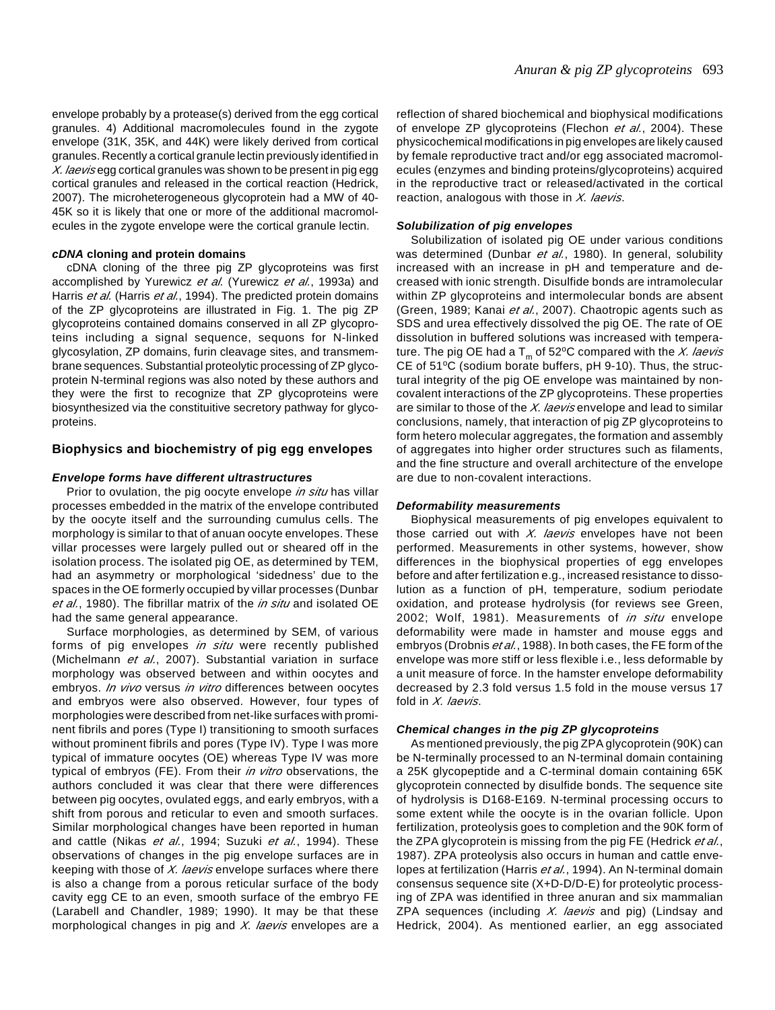envelope probably by a protease(s) derived from the egg cortical granules. 4) Additional macromolecules found in the zygote envelope (31K, 35K, and 44K) were likely derived from cortical granules. Recently a cortical granule lectin previously identified in *X. laevis* egg cortical granules was shown to be present in pig egg cortical granules and released in the cortical reaction (Hedrick, 2007). The microheterogeneous glycoprotein had a MW of 40- 45K so it is likely that one or more of the additional macromolecules in the zygote envelope were the cortical granule lectin.

# *cDNA* **cloning and protein domains**

cDNA cloning of the three pig ZP glycoproteins was first accomplished by Yurewicz *et al.* (Yurewicz *et al.*, 1993a) and Harris *et al.* (Harris *et al.*, 1994). The predicted protein domains of the ZP glycoproteins are illustrated in Fig. 1. The pig ZP glycoproteins contained domains conserved in all ZP glycoproteins including a signal sequence, sequons for N-linked glycosylation, ZP domains, furin cleavage sites, and transmembrane sequences. Substantial proteolytic processing of ZP glycoprotein N-terminal regions was also noted by these authors and they were the first to recognize that ZP glycoproteins were biosynthesized via the constituitive secretory pathway for glycoproteins.

# **Biophysics and biochemistry of pig egg envelopes**

# *Envelope forms have different ultrastructures*

Prior to ovulation, the pig oocyte envelope *in situ* has villar processes embedded in the matrix of the envelope contributed by the oocyte itself and the surrounding cumulus cells. The morphology is similar to that of anuan oocyte envelopes. These villar processes were largely pulled out or sheared off in the isolation process. The isolated pig OE, as determined by TEM, had an asymmetry or morphological 'sidedness' due to the spaces in the OE formerly occupied by villar processes (Dunbar *et al.*, 1980). The fibrillar matrix of the *in situ* and isolated OE had the same general appearance.

Surface morphologies, as determined by SEM, of various forms of pig envelopes *in situ* were recently published (Michelmann *et al.*, 2007). Substantial variation in surface morphology was observed between and within oocytes and embryos. *In vivo* versus *in vitro* differences between oocytes and embryos were also observed. However, four types of morphologies were described from net-like surfaces with prominent fibrils and pores (Type I) transitioning to smooth surfaces without prominent fibrils and pores (Type IV). Type I was more typical of immature oocytes (OE) whereas Type IV was more typical of embryos (FE). From their *in vitro* observations, the authors concluded it was clear that there were differences between pig oocytes, ovulated eggs, and early embryos, with a shift from porous and reticular to even and smooth surfaces. Similar morphological changes have been reported in human and cattle (Nikas *et al.*, 1994; Suzuki *et al.*, 1994). These observations of changes in the pig envelope surfaces are in keeping with those of *X. laevis* envelope surfaces where there is also a change from a porous reticular surface of the body cavity egg CE to an even, smooth surface of the embryo FE (Larabell and Chandler, 1989; 1990). It may be that these morphological changes in pig and *X. laevis* envelopes are a

reflection of shared biochemical and biophysical modifications of envelope ZP glycoproteins (Flechon *et al.*, 2004). These physicochemical modifications in pig envelopes are likely caused by female reproductive tract and/or egg associated macromolecules (enzymes and binding proteins/glycoproteins) acquired in the reproductive tract or released/activated in the cortical reaction, analogous with those in *X. laevis*.

# *Solubilization of pig envelopes*

Solubilization of isolated pig OE under various conditions was determined (Dunbar *et al.*, 1980). In general, solubility increased with an increase in pH and temperature and decreased with ionic strength. Disulfide bonds are intramolecular within ZP glycoproteins and intermolecular bonds are absent (Green, 1989; Kanai *et al.*, 2007). Chaotropic agents such as SDS and urea effectively dissolved the pig OE. The rate of OE dissolution in buffered solutions was increased with temperature. The pig OE had a T<sub>m</sub> of 52°C compared with the *X. laevis* CE of  $51^{\circ}$ C (sodium borate buffers, pH 9-10). Thus, the structural integrity of the pig OE envelope was maintained by noncovalent interactions of the ZP glycoproteins. These properties are similar to those of the *X. laevis* envelope and lead to similar conclusions, namely, that interaction of pig ZP glycoproteins to form hetero molecular aggregates, the formation and assembly of aggregates into higher order structures such as filaments, and the fine structure and overall architecture of the envelope are due to non-covalent interactions.

# *Deformability measurements*

Biophysical measurements of pig envelopes equivalent to those carried out with *X. laevis* envelopes have not been performed. Measurements in other systems, however, show differences in the biophysical properties of egg envelopes before and after fertilization e.g., increased resistance to dissolution as a function of pH, temperature, sodium periodate oxidation, and protease hydrolysis (for reviews see Green, 2002; Wolf, 1981). Measurements of *in situ* envelope deformability were made in hamster and mouse eggs and embryos (Drobnis *et al.*, 1988). In both cases, the FE form of the envelope was more stiff or less flexible i.e., less deformable by a unit measure of force. In the hamster envelope deformability decreased by 2.3 fold versus 1.5 fold in the mouse versus 17 fold in *X. laevis*.

# *Chemical changes in the pig ZP glycoproteins*

As mentioned previously, the pig ZPA glycoprotein (90K) can be N-terminally processed to an N-terminal domain containing a 25K glycopeptide and a C-terminal domain containing 65K glycoprotein connected by disulfide bonds. The sequence site of hydrolysis is D168-E169. N-terminal processing occurs to some extent while the oocyte is in the ovarian follicle. Upon fertilization, proteolysis goes to completion and the 90K form of the ZPA glycoprotein is missing from the pig FE (Hedrick *et al.*, 1987). ZPA proteolysis also occurs in human and cattle envelopes at fertilization (Harris *et al.*, 1994). An N-terminal domain consensus sequence site (X+D-D/D-E) for proteolytic processing of ZPA was identified in three anuran and six mammalian ZPA sequences (including *X. laevis* and pig) (Lindsay and Hedrick, 2004). As mentioned earlier, an egg associated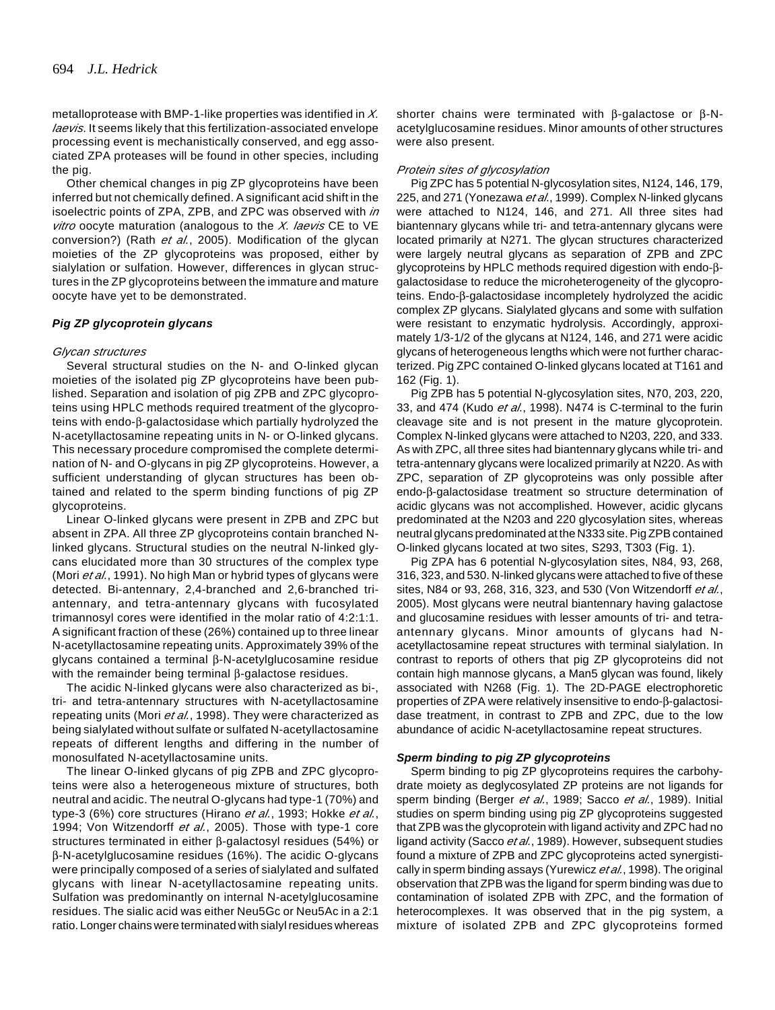metalloprotease with BMP-1-like properties was identified in *X. laevis*. It seems likely that this fertilization-associated envelope processing event is mechanistically conserved, and egg associated ZPA proteases will be found in other species, including the pig.

Other chemical changes in pig ZP glycoproteins have been inferred but not chemically defined. A significant acid shift in the isoelectric points of ZPA, ZPB, and ZPC was observed with *in vitro* oocyte maturation (analogous to the *X. laevis* CE to VE conversion?) (Rath *et al.*, 2005). Modification of the glycan moieties of the ZP glycoproteins was proposed, either by sialylation or sulfation. However, differences in glycan structures in the ZP glycoproteins between the immature and mature oocyte have yet to be demonstrated.

## *Pig ZP glycoprotein glycans*

#### *Glycan structures*

Several structural studies on the N- and O-linked glycan moieties of the isolated pig ZP glycoproteins have been published. Separation and isolation of pig ZPB and ZPC glycoproteins using HPLC methods required treatment of the glycoproteins with endo-β-galactosidase which partially hydrolyzed the N-acetyllactosamine repeating units in N- or O-linked glycans. This necessary procedure compromised the complete determination of N- and O-glycans in pig ZP glycoproteins. However, a sufficient understanding of glycan structures has been obtained and related to the sperm binding functions of pig ZP glycoproteins.

Linear O-linked glycans were present in ZPB and ZPC but absent in ZPA. All three ZP glycoproteins contain branched Nlinked glycans. Structural studies on the neutral N-linked glycans elucidated more than 30 structures of the complex type (Mori *et al.*, 1991). No high Man or hybrid types of glycans were detected. Bi-antennary, 2,4-branched and 2,6-branched triantennary, and tetra-antennary glycans with fucosylated trimannosyl cores were identified in the molar ratio of 4:2:1:1. A significant fraction of these (26%) contained up to three linear N-acetyllactosamine repeating units. Approximately 39% of the glycans contained a terminal β-N-acetylglucosamine residue with the remainder being terminal β-galactose residues.

The acidic N-linked glycans were also characterized as bi-, tri- and tetra-antennary structures with N-acetyllactosamine repeating units (Mori *et al.*, 1998). They were characterized as being sialylated without sulfate or sulfated N-acetyllactosamine repeats of different lengths and differing in the number of monosulfated N-acetyllactosamine units.

The linear O-linked glycans of pig ZPB and ZPC glycoproteins were also a heterogeneous mixture of structures, both neutral and acidic. The neutral O-glycans had type-1 (70%) and type-3 (6%) core structures (Hirano *et al.*, 1993; Hokke *et al.*, 1994; Von Witzendorff *et al.*, 2005). Those with type-1 core structures terminated in either β-galactosyl residues (54%) or β-N-acetylglucosamine residues (16%). The acidic O-glycans were principally composed of a series of sialylated and sulfated glycans with linear N-acetyllactosamine repeating units. Sulfation was predominantly on internal N-acetylglucosamine residues. The sialic acid was either Neu5Gc or Neu5Ac in a 2:1 ratio. Longer chains were terminated with sialyl residues whereas

shorter chains were terminated with β-galactose or β-Nacetylglucosamine residues. Minor amounts of other structures were also present.

#### *Protein sites of glycosylation*

Pig ZPC has 5 potential N-glycosylation sites, N124, 146, 179, 225, and 271 (Yonezawa *et al.*, 1999). Complex N-linked glycans were attached to N124, 146, and 271. All three sites had biantennary glycans while tri- and tetra-antennary glycans were located primarily at N271. The glycan structures characterized were largely neutral glycans as separation of ZPB and ZPC glycoproteins by HPLC methods required digestion with endo-βgalactosidase to reduce the microheterogeneity of the glycoproteins. Endo-β-galactosidase incompletely hydrolyzed the acidic complex ZP glycans. Sialylated glycans and some with sulfation were resistant to enzymatic hydrolysis. Accordingly, approximately 1/3-1/2 of the glycans at N124, 146, and 271 were acidic glycans of heterogeneous lengths which were not further characterized. Pig ZPC contained O-linked glycans located at T161 and 162 (Fig. 1).

Pig ZPB has 5 potential N-glycosylation sites, N70, 203, 220, 33, and 474 (Kudo *et al.*, 1998). N474 is C-terminal to the furin cleavage site and is not present in the mature glycoprotein. Complex N-linked glycans were attached to N203, 220, and 333. As with ZPC, all three sites had biantennary glycans while tri- and tetra-antennary glycans were localized primarily at N220. As with ZPC, separation of ZP glycoproteins was only possible after endo-β-galactosidase treatment so structure determination of acidic glycans was not accomplished. However, acidic glycans predominated at the N203 and 220 glycosylation sites, whereas neutral glycans predominated at the N333 site. Pig ZPB contained O-linked glycans located at two sites, S293, T303 (Fig. 1).

Pig ZPA has 6 potential N-glycosylation sites, N84, 93, 268, 316, 323, and 530. N-linked glycans were attached to five of these sites, N84 or 93, 268, 316, 323, and 530 (Von Witzendorff *et al.*, 2005). Most glycans were neutral biantennary having galactose and glucosamine residues with lesser amounts of tri- and tetraantennary glycans. Minor amounts of glycans had Nacetyllactosamine repeat structures with terminal sialylation. In contrast to reports of others that pig ZP glycoproteins did not contain high mannose glycans, a Man5 glycan was found, likely associated with N268 (Fig. 1). The 2D-PAGE electrophoretic properties of ZPA were relatively insensitive to endo-β-galactosidase treatment, in contrast to ZPB and ZPC, due to the low abundance of acidic N-acetyllactosamine repeat structures.

## *Sperm binding to pig ZP glycoproteins*

Sperm binding to pig ZP glycoproteins requires the carbohydrate moiety as deglycosylated ZP proteins are not ligands for sperm binding (Berger *et al.*, 1989; Sacco *et al.*, 1989). Initial studies on sperm binding using pig ZP glycoproteins suggested that ZPB was the glycoprotein with ligand activity and ZPC had no ligand activity (Sacco *et al.*, 1989). However, subsequent studies found a mixture of ZPB and ZPC glycoproteins acted synergistically in sperm binding assays (Yurewicz *et al.*, 1998). The original observation that ZPB was the ligand for sperm binding was due to contamination of isolated ZPB with ZPC, and the formation of heterocomplexes. It was observed that in the pig system, a mixture of isolated ZPB and ZPC glycoproteins formed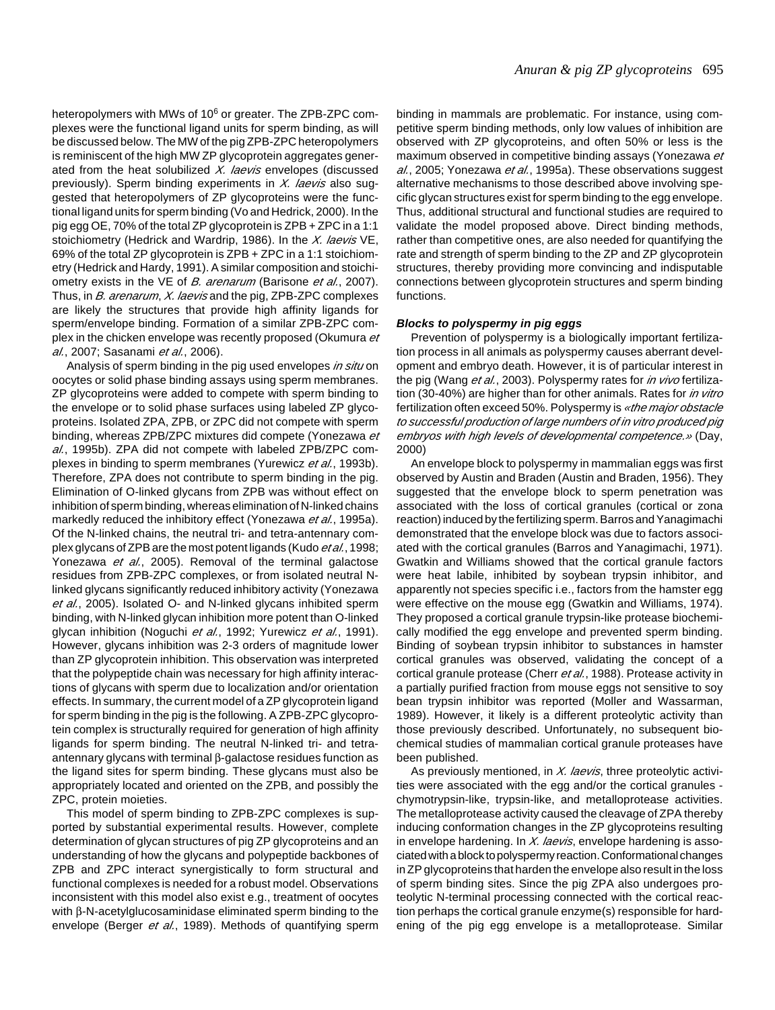heteropolymers with MWs of 10<sup>6</sup> or greater. The ZPB-ZPC complexes were the functional ligand units for sperm binding, as will be discussed below. The MW of the pig ZPB-ZPC heteropolymers is reminiscent of the high MW ZP glycoprotein aggregates generated from the heat solubilized *X. laevis* envelopes (discussed previously). Sperm binding experiments in *X. laevis* also suggested that heteropolymers of ZP glycoproteins were the functional ligand units for sperm binding (Vo and Hedrick, 2000). In the pig egg OE, 70% of the total ZP glycoprotein is ZPB + ZPC in a 1:1 stoichiometry (Hedrick and Wardrip, 1986). In the *X. laevis* VE, 69% of the total ZP glycoprotein is ZPB + ZPC in a 1:1 stoichiometry (Hedrick and Hardy, 1991). A similar composition and stoichiometry exists in the VE of *B. arenarum* (Barisone *et al.*, 2007). Thus, in *B. arenarum*, *X. laevis* and the pig, ZPB-ZPC complexes are likely the structures that provide high affinity ligands for sperm/envelope binding. Formation of a similar ZPB-ZPC complex in the chicken envelope was recently proposed (Okumura *et al.*, 2007; Sasanami *et al.*, 2006).

Analysis of sperm binding in the pig used envelopes *in situ* on oocytes or solid phase binding assays using sperm membranes. ZP glycoproteins were added to compete with sperm binding to the envelope or to solid phase surfaces using labeled ZP glycoproteins. Isolated ZPA, ZPB, or ZPC did not compete with sperm binding, whereas ZPB/ZPC mixtures did compete (Yonezawa *et al.*, 1995b). ZPA did not compete with labeled ZPB/ZPC complexes in binding to sperm membranes (Yurewicz *et al.*, 1993b). Therefore, ZPA does not contribute to sperm binding in the pig. Elimination of O-linked glycans from ZPB was without effect on inhibition of sperm binding, whereas elimination of N-linked chains markedly reduced the inhibitory effect (Yonezawa *et al.*, 1995a). Of the N-linked chains, the neutral tri- and tetra-antennary complex glycans of ZPB are the most potent ligands (Kudo *et al.*, 1998; Yonezawa *et al.*, 2005). Removal of the terminal galactose residues from ZPB-ZPC complexes, or from isolated neutral Nlinked glycans significantly reduced inhibitory activity (Yonezawa *et al.*, 2005). Isolated O- and N-linked glycans inhibited sperm binding, with N-linked glycan inhibition more potent than O-linked glycan inhibition (Noguchi *et al.*, 1992; Yurewicz *et al.*, 1991). However, glycans inhibition was 2-3 orders of magnitude lower than ZP glycoprotein inhibition. This observation was interpreted that the polypeptide chain was necessary for high affinity interactions of glycans with sperm due to localization and/or orientation effects. In summary, the current model of a ZP glycoprotein ligand for sperm binding in the pig is the following. A ZPB-ZPC glycoprotein complex is structurally required for generation of high affinity ligands for sperm binding. The neutral N-linked tri- and tetraantennary glycans with terminal β-galactose residues function as the ligand sites for sperm binding. These glycans must also be appropriately located and oriented on the ZPB, and possibly the ZPC, protein moieties.

This model of sperm binding to ZPB-ZPC complexes is supported by substantial experimental results. However, complete determination of glycan structures of pig ZP glycoproteins and an understanding of how the glycans and polypeptide backbones of ZPB and ZPC interact synergistically to form structural and functional complexes is needed for a robust model. Observations inconsistent with this model also exist e.g., treatment of oocytes with β-N-acetylglucosaminidase eliminated sperm binding to the envelope (Berger *et al.*, 1989). Methods of quantifying sperm

binding in mammals are problematic. For instance, using competitive sperm binding methods, only low values of inhibition are observed with ZP glycoproteins, and often 50% or less is the maximum observed in competitive binding assays (Yonezawa *et al.*, 2005; Yonezawa *et al.*, 1995a). These observations suggest alternative mechanisms to those described above involving specific glycan structures exist for sperm binding to the egg envelope. Thus, additional structural and functional studies are required to validate the model proposed above. Direct binding methods, rather than competitive ones, are also needed for quantifying the rate and strength of sperm binding to the ZP and ZP glycoprotein structures, thereby providing more convincing and indisputable connections between glycoprotein structures and sperm binding functions.

## *Blocks to polyspermy in pig eggs*

Prevention of polyspermy is a biologically important fertilization process in all animals as polyspermy causes aberrant development and embryo death. However, it is of particular interest in the pig (Wang *et al.*, 2003). Polyspermy rates for *in vivo* fertilization (30-40%) are higher than for other animals. Rates for *in vitro* fertilization often exceed 50%. Polyspermy is *«the major obstacle to successful production of large numbers of in vitro produced pig embryos with high levels of developmental competence.»* (Day, 2000)

An envelope block to polyspermy in mammalian eggs was first observed by Austin and Braden (Austin and Braden, 1956). They suggested that the envelope block to sperm penetration was associated with the loss of cortical granules (cortical or zona reaction) induced by the fertilizing sperm. Barros and Yanagimachi demonstrated that the envelope block was due to factors associated with the cortical granules (Barros and Yanagimachi, 1971). Gwatkin and Williams showed that the cortical granule factors were heat labile, inhibited by soybean trypsin inhibitor, and apparently not species specific i.e., factors from the hamster egg were effective on the mouse egg (Gwatkin and Williams, 1974). They proposed a cortical granule trypsin-like protease biochemically modified the egg envelope and prevented sperm binding. Binding of soybean trypsin inhibitor to substances in hamster cortical granules was observed, validating the concept of a cortical granule protease (Cherr *et al.*, 1988). Protease activity in a partially purified fraction from mouse eggs not sensitive to soy bean trypsin inhibitor was reported (Moller and Wassarman, 1989). However, it likely is a different proteolytic activity than those previously described. Unfortunately, no subsequent biochemical studies of mammalian cortical granule proteases have been published.

As previously mentioned, in *X. laevis*, three proteolytic activities were associated with the egg and/or the cortical granules chymotrypsin-like, trypsin-like, and metalloprotease activities. The metalloprotease activity caused the cleavage of ZPA thereby inducing conformation changes in the ZP glycoproteins resulting in envelope hardening. In *X. laevis*, envelope hardening is associated with a block to polyspermy reaction. Conformational changes in ZP glycoproteins that harden the envelope also result in the loss of sperm binding sites. Since the pig ZPA also undergoes proteolytic N-terminal processing connected with the cortical reaction perhaps the cortical granule enzyme(s) responsible for hardening of the pig egg envelope is a metalloprotease. Similar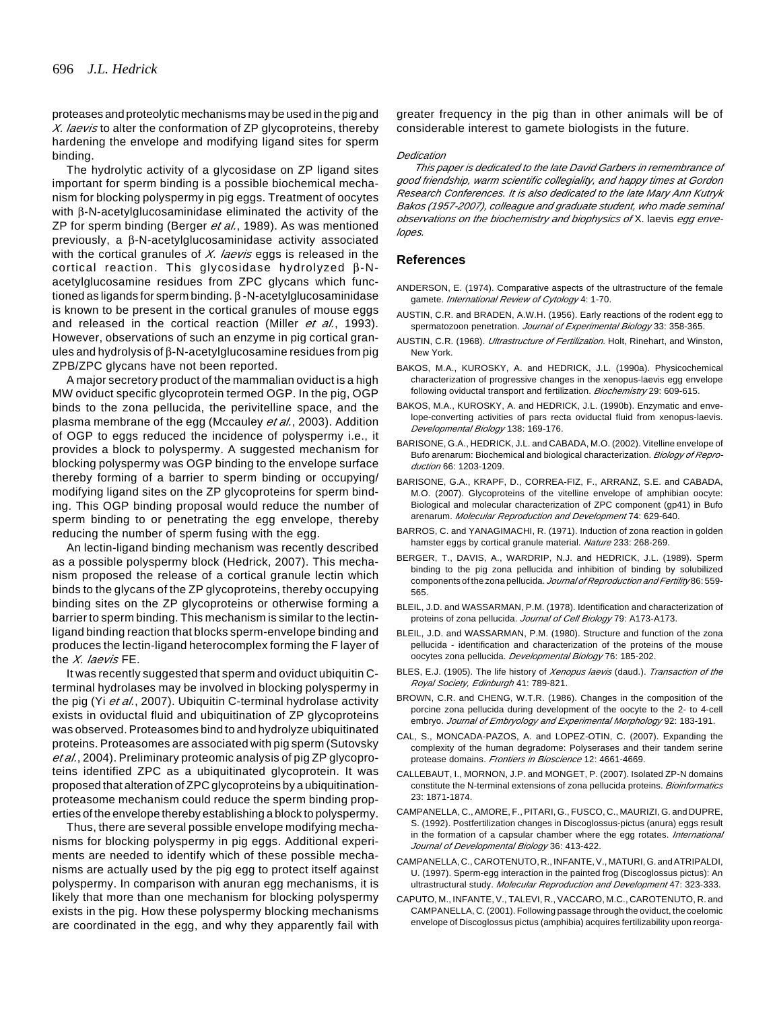proteases and proteolytic mechanisms may be used in the pig and *X. laevis* to alter the conformation of ZP glycoproteins, thereby hardening the envelope and modifying ligand sites for sperm binding.

The hydrolytic activity of a glycosidase on ZP ligand sites important for sperm binding is a possible biochemical mechanism for blocking polyspermy in pig eggs. Treatment of oocytes with β-N-acetylglucosaminidase eliminated the activity of the ZP for sperm binding (Berger *et al.*, 1989). As was mentioned previously, a β-N-acetylglucosaminidase activity associated with the cortical granules of *X. laevis* eggs is released in the cortical reaction. This glycosidase hydrolyzed β-Nacetylglucosamine residues from ZPC glycans which functioned as ligands for sperm binding. β -N-acetylglucosaminidase is known to be present in the cortical granules of mouse eggs and released in the cortical reaction (Miller *et al.*, 1993). However, observations of such an enzyme in pig cortical granules and hydrolysis of β-N-acetylglucosamine residues from pig ZPB/ZPC glycans have not been reported.

A major secretory product of the mammalian oviduct is a high MW oviduct specific glycoprotein termed OGP. In the pig, OGP binds to the zona pellucida, the perivitelline space, and the plasma membrane of the egg (Mccauley *et al.*, 2003). Addition of OGP to eggs reduced the incidence of polyspermy i.e., it provides a block to polyspermy. A suggested mechanism for blocking polyspermy was OGP binding to the envelope surface thereby forming of a barrier to sperm binding or occupying/ modifying ligand sites on the ZP glycoproteins for sperm binding. This OGP binding proposal would reduce the number of sperm binding to or penetrating the egg envelope, thereby reducing the number of sperm fusing with the egg.

An lectin-ligand binding mechanism was recently described as a possible polyspermy block (Hedrick, 2007). This mechanism proposed the release of a cortical granule lectin which binds to the glycans of the ZP glycoproteins, thereby occupying binding sites on the ZP glycoproteins or otherwise forming a barrier to sperm binding. This mechanism is similar to the lectinligand binding reaction that blocks sperm-envelope binding and produces the lectin-ligand heterocomplex forming the F layer of the *X. laevis* FE.

It was recently suggested that sperm and oviduct ubiquitin Cterminal hydrolases may be involved in blocking polyspermy in the pig (Yi *et al.*, 2007). Ubiquitin C-terminal hydrolase activity exists in oviductal fluid and ubiquitination of ZP glycoproteins was observed. Proteasomes bind to and hydrolyze ubiquitinated proteins. Proteasomes are associated with pig sperm (Sutovsky *et al.*, 2004). Preliminary proteomic analysis of pig ZP glycoproteins identified ZPC as a ubiquitinated glycoprotein. It was proposed that alteration of ZPC glycoproteins by a ubiquitinationproteasome mechanism could reduce the sperm binding properties of the envelope thereby establishing a block to polyspermy.

Thus, there are several possible envelope modifying mechanisms for blocking polyspermy in pig eggs. Additional experiments are needed to identify which of these possible mechanisms are actually used by the pig egg to protect itself against polyspermy. In comparison with anuran egg mechanisms, it is likely that more than one mechanism for blocking polyspermy exists in the pig. How these polyspermy blocking mechanisms are coordinated in the egg, and why they apparently fail with

greater frequency in the pig than in other animals will be of considerable interest to gamete biologists in the future.

#### *Dedication*

*This paper is dedicated to the late David Garbers in remembrance of good friendship, warm scientific collegiality, and happy times at Gordon Research Conferences. It is also dedicated to the late Mary Ann Kutryk Bakos (1957-2007), colleague and graduate student, who made seminal observations on the biochemistry and biophysics of* X. laevis *egg envelopes.*

# **References**

- ANDERSON, E. (1974). Comparative aspects of the ultrastructure of the female gamete. *International Review of Cytology* 4: 1-70.
- AUSTIN, C.R. and BRADEN, A.W.H. (1956). Early reactions of the rodent egg to spermatozoon penetration. *Journal of Experimental Biology* 33: 358-365.
- AUSTIN, C.R. (1968). *Ultrastructure of Fertilization*. Holt, Rinehart, and Winston, New York.
- BAKOS, M.A., KUROSKY, A. and HEDRICK, J.L. (1990a). Physicochemical characterization of progressive changes in the xenopus-laevis egg envelope following oviductal transport and fertilization. *Biochemistry* 29: 609-615.
- BAKOS, M.A., KUROSKY, A. and HEDRICK, J.L. (1990b). Enzymatic and envelope-converting activities of pars recta oviductal fluid from xenopus-laevis. *Developmental Biology* 138: 169-176.
- BARISONE, G.A., HEDRICK, J.L. and CABADA, M.O. (2002). Vitelline envelope of Bufo arenarum: Biochemical and biological characterization. *Biology of Reproduction* 66: 1203-1209.
- BARISONE, G.A., KRAPF, D., CORREA-FIZ, F., ARRANZ, S.E. and CABADA, M.O. (2007). Glycoproteins of the vitelline envelope of amphibian oocyte: Biological and molecular characterization of ZPC component (gp41) in Bufo arenarum. *Molecular Reproduction and Development* 74: 629-640.
- BARROS, C. and YANAGIMACHI, R. (1971). Induction of zona reaction in golden hamster eggs by cortical granule material. *Nature* 233: 268-269.
- BERGER, T., DAVIS, A., WARDRIP, N.J. and HEDRICK, J.L. (1989). Sperm binding to the pig zona pellucida and inhibition of binding by solubilized components of the zona pellucida. *Journal of Reproduction and Fertility* 86: 559- 565.
- BLEIL, J.D. and WASSARMAN, P.M. (1978). Identification and characterization of proteins of zona pellucida. *Journal of Cell Biology* 79: A173-A173.
- BLEIL, J.D. and WASSARMAN, P.M. (1980). Structure and function of the zona pellucida - identification and characterization of the proteins of the mouse oocytes zona pellucida. *Developmental Biology* 76: 185-202.
- BLES, E.J. (1905). The life history of *Xenopus laevis* (daud.). *Transaction of the Royal Society, Edinburgh* 41: 789-821.
- BROWN, C.R. and CHENG, W.T.R. (1986). Changes in the composition of the porcine zona pellucida during development of the oocyte to the 2- to 4-cell embryo. *Journal of Embryology and Experimental Morphology* 92: 183-191.
- CAL, S., MONCADA-PAZOS, A. and LOPEZ-OTIN, C. (2007). Expanding the complexity of the human degradome: Polyserases and their tandem serine protease domains. *Frontiers in Bioscience* 12: 4661-4669.
- CALLEBAUT, I., MORNON, J.P. and MONGET, P. (2007). Isolated ZP-N domains constitute the N-terminal extensions of zona pellucida proteins. *Bioinformatics* 23: 1871-1874.
- CAMPANELLA, C., AMORE, F., PITARI, G., FUSCO, C., MAURIZI, G. and DUPRE, S. (1992). Postfertilization changes in Discoglossus-pictus (anura) eggs result in the formation of a capsular chamber where the egg rotates. *International Journal of Developmental Biology* 36: 413-422.
- CAMPANELLA, C., CAROTENUTO, R., INFANTE, V., MATURI, G. and ATRIPALDI, U. (1997). Sperm-egg interaction in the painted frog (Discoglossus pictus): An ultrastructural study. *Molecular Reproduction and Development* 47: 323-333.
- CAPUTO, M., INFANTE, V., TALEVI, R., VACCARO, M.C., CAROTENUTO, R. and CAMPANELLA, C. (2001). Following passage through the oviduct, the coelomic envelope of Discoglossus pictus (amphibia) acquires fertilizability upon reorga-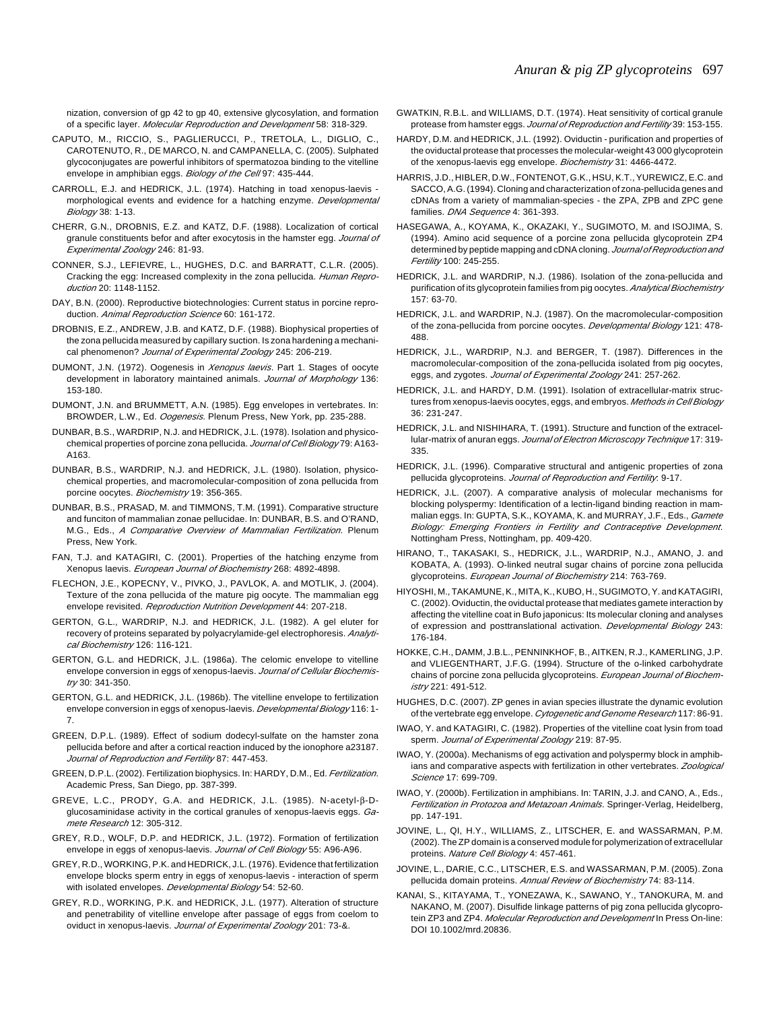nization, conversion of gp 42 to gp 40, extensive glycosylation, and formation of a specific layer. *Molecular Reproduction and Development* 58: 318-329.

- CAPUTO, M., RICCIO, S., PAGLIERUCCI, P., TRETOLA, L., DIGLIO, C., CAROTENUTO, R., DE MARCO, N. and CAMPANELLA, C. (2005). Sulphated glycoconjugates are powerful inhibitors of spermatozoa binding to the vitelline envelope in amphibian eggs. *Biology of the Cell* 97: 435-444.
- CARROLL, E.J. and HEDRICK, J.L. (1974). Hatching in toad xenopus-laevis morphological events and evidence for a hatching enzyme. *Developmental Biology* 38: 1-13.
- CHERR, G.N., DROBNIS, E.Z. and KATZ, D.F. (1988). Localization of cortical granule constituents befor and after exocytosis in the hamster egg. *Journal of Experimental Zoology* 246: 81-93.
- CONNER, S.J., LEFIEVRE, L., HUGHES, D.C. and BARRATT, C.L.R. (2005). Cracking the egg: Increased complexity in the zona pellucida. *Human Reproduction* 20: 1148-1152.
- DAY, B.N. (2000). Reproductive biotechnologies: Current status in porcine reproduction. *Animal Reproduction Science* 60: 161-172.
- DROBNIS, E.Z., ANDREW, J.B. and KATZ, D.F. (1988). Biophysical properties of the zona pellucida measured by capillary suction. Is zona hardening a mechanical phenomenon? *Journal of Experimental Zoology* 245: 206-219.
- DUMONT, J.N. (1972). Oogenesis in *Xenopus laevis*. Part 1. Stages of oocyte development in laboratory maintained animals. *Journal of Morphology* 136: 153-180.
- DUMONT, J.N. and BRUMMETT, A.N. (1985). Egg envelopes in vertebrates. In: BROWDER, L.W., Ed. *Oogenesis*. Plenum Press, New York, pp. 235-288.
- DUNBAR, B.S., WARDRIP, N.J. and HEDRICK, J.L. (1978). Isolation and physicochemical properties of porcine zona pellucida. *Journal of Cell Biology* 79: A163- A163.
- DUNBAR, B.S., WARDRIP, N.J. and HEDRICK, J.L. (1980). Isolation, physicochemical properties, and macromolecular-composition of zona pellucida from porcine oocytes. *Biochemistry* 19: 356-365.
- DUNBAR, B.S., PRASAD, M. and TIMMONS, T.M. (1991). Comparative structure and funciton of mammalian zonae pellucidae. In: DUNBAR, B.S. and O'RAND, M.G., Eds., *A Comparative Overview of Mammalian Fertilization*. Plenum Press, New York.
- FAN, T.J. and KATAGIRI, C. (2001). Properties of the hatching enzyme from Xenopus laevis. *European Journal of Biochemistry* 268: 4892-4898.
- FLECHON, J.E., KOPECNY, V., PIVKO, J., PAVLOK, A. and MOTLIK, J. (2004). Texture of the zona pellucida of the mature pig oocyte. The mammalian egg envelope revisited. *Reproduction Nutrition Development* 44: 207-218.
- GERTON, G.L., WARDRIP, N.J. and HEDRICK, J.L. (1982). A gel eluter for recovery of proteins separated by polyacrylamide-gel electrophoresis. *Analytical Biochemistry* 126: 116-121.
- GERTON, G.L. and HEDRICK, J.L. (1986a). The celomic envelope to vitelline envelope conversion in eggs of xenopus-laevis. *Journal of Cellular Biochemistry* 30: 341-350.
- GERTON, G.L. and HEDRICK, J.L. (1986b). The vitelline envelope to fertilization envelope conversion in eggs of xenopus-laevis. *Developmental Biology* 116: 1- 7.
- GREEN, D.P.L. (1989). Effect of sodium dodecyl-sulfate on the hamster zona pellucida before and after a cortical reaction induced by the ionophore a23187. *Journal of Reproduction and Fertility* 87: 447-453.
- GREEN, D.P.L. (2002). Fertilization biophysics. In: HARDY, D.M., Ed. *Fertilization*. Academic Press, San Diego, pp. 387-399.
- GREVE, L.C., PRODY, G.A. and HEDRICK, J.L. (1985). N-acetyl-β-Dglucosaminidase activity in the cortical granules of xenopus-laevis eggs. *Gamete Research* 12: 305-312.
- GREY, R.D., WOLF, D.P. and HEDRICK, J.L. (1972). Formation of fertilization envelope in eggs of xenopus-laevis. *Journal of Cell Biology* 55: A96-A96.
- GREY, R.D., WORKING, P.K. and HEDRICK, J.L. (1976). Evidence that fertilization envelope blocks sperm entry in eggs of xenopus-laevis - interaction of sperm with isolated envelopes. *Developmental Biology* 54: 52-60.
- GREY, R.D., WORKING, P.K. and HEDRICK, J.L. (1977). Alteration of structure and penetrability of vitelline envelope after passage of eggs from coelom to oviduct in xenopus-laevis. *Journal of Experimental Zoology* 201: 73-&.
- GWATKIN, R.B.L. and WILLIAMS, D.T. (1974). Heat sensitivity of cortical granule protease from hamster eggs. *Journal of Reproduction and Fertility* 39: 153-155.
- HARDY, D.M. and HEDRICK, J.L. (1992). Oviductin purification and properties of the oviductal protease that processes the molecular-weight 43 000 glycoprotein of the xenopus-laevis egg envelope. *Biochemistry* 31: 4466-4472.
- HARRIS, J.D., HIBLER, D.W., FONTENOT, G.K., HSU, K.T., YUREWICZ, E.C. and SACCO, A.G. (1994). Cloning and characterization of zona-pellucida genes and cDNAs from a variety of mammalian-species - the ZPA, ZPB and ZPC gene families. *DNA Sequence* 4: 361-393.
- HASEGAWA, A., KOYAMA, K., OKAZAKI, Y., SUGIMOTO, M. and ISOJIMA, S. (1994). Amino acid sequence of a porcine zona pellucida glycoprotein ZP4 determined by peptide mapping and cDNA cloning. *Journal of Reproduction and Fertility* 100: 245-255.
- HEDRICK, J.L. and WARDRIP, N.J. (1986). Isolation of the zona-pellucida and purification of its glycoprotein families from pig oocytes. *Analytical Biochemistry* 157: 63-70.
- HEDRICK, J.L. and WARDRIP, N.J. (1987). On the macromolecular-composition of the zona-pellucida from porcine oocytes. *Developmental Biology* 121: 478- 488.
- HEDRICK, J.L., WARDRIP, N.J. and BERGER, T. (1987). Differences in the macromolecular-composition of the zona-pellucida isolated from pig oocytes, eggs, and zygotes. *Journal of Experimental Zoology* 241: 257-262.
- HEDRICK, J.L. and HARDY, D.M. (1991). Isolation of extracellular-matrix structures from xenopus-laevis oocytes, eggs, and embryos. *Methods in Cell Biology* 36: 231-247.
- HEDRICK, J.L. and NISHIHARA, T. (1991). Structure and function of the extracellular-matrix of anuran eggs. *Journal of Electron Microscopy Technique* 17: 319- 335.
- HEDRICK, J.L. (1996). Comparative structural and antigenic properties of zona pellucida glycoproteins. *Journal of Reproduction and Fertility*: 9-17.
- HEDRICK, J.L. (2007). A comparative analysis of molecular mechanisms for blocking polyspermy: Identification of a lectin-ligand binding reaction in mammalian eggs. In: GUPTA, S.K., KOYAMA, K. and MURRAY, J.F., Eds., *Gamete Biology: Emerging Frontiers in Fertility and Contraceptive Development*. Nottingham Press, Nottingham, pp. 409-420.
- HIRANO, T., TAKASAKI, S., HEDRICK, J.L., WARDRIP, N.J., AMANO, J. and KOBATA, A. (1993). O-linked neutral sugar chains of porcine zona pellucida glycoproteins. *European Journal of Biochemistry* 214: 763-769.
- HIYOSHI, M., TAKAMUNE, K., MITA, K., KUBO, H., SUGIMOTO, Y. and KATAGIRI, C. (2002). Oviductin, the oviductal protease that mediates gamete interaction by affecting the vitelline coat in Bufo japonicus: Its molecular cloning and analyses of expression and posttranslational activation. *Developmental Biology* 243: 176-184.
- HOKKE, C.H., DAMM, J.B.L., PENNINKHOF, B., AITKEN, R.J., KAMERLING, J.P. and VLIEGENTHART, J.F.G. (1994). Structure of the o-linked carbohydrate chains of porcine zona pellucida glycoproteins. *European Journal of Biochemistry* 221: 491-512.
- HUGHES, D.C. (2007). ZP genes in avian species illustrate the dynamic evolution of the vertebrate egg envelope. *Cytogenetic and Genome Research* 117: 86-91.
- IWAO, Y. and KATAGIRI, C. (1982). Properties of the vitelline coat lysin from toad sperm. *Journal of Experimental Zoology* 219: 87-95.
- IWAO, Y. (2000a). Mechanisms of egg activation and polyspermy block in amphibians and comparative aspects with fertilization in other vertebrates. *Zoological Science* 17: 699-709.
- IWAO, Y. (2000b). Fertilization in amphibians. In: TARIN, J.J. and CANO, A., Eds., *Fertilization in Protozoa and Metazoan Animals*. Springer-Verlag, Heidelberg, pp. 147-191.
- JOVINE, L., QI, H.Y., WILLIAMS, Z., LITSCHER, E. and WASSARMAN, P.M. (2002). The ZP domain is a conserved module for polymerization of extracellular proteins. *Nature Cell Biology* 4: 457-461.
- JOVINE, L., DARIE, C.C., LITSCHER, E.S. and WASSARMAN, P.M. (2005). Zona pellucida domain proteins. *Annual Review of Biochemistry* 74: 83-114.
- KANAI, S., KITAYAMA, T., YONEZAWA, K., SAWANO, Y., TANOKURA, M. and NAKANO, M. (2007). Disulfide linkage patterns of pig zona pellucida glycoprotein ZP3 and ZP4. *Molecular Reproduction and Development* In Press On-line: DOI 10.1002/mrd.20836.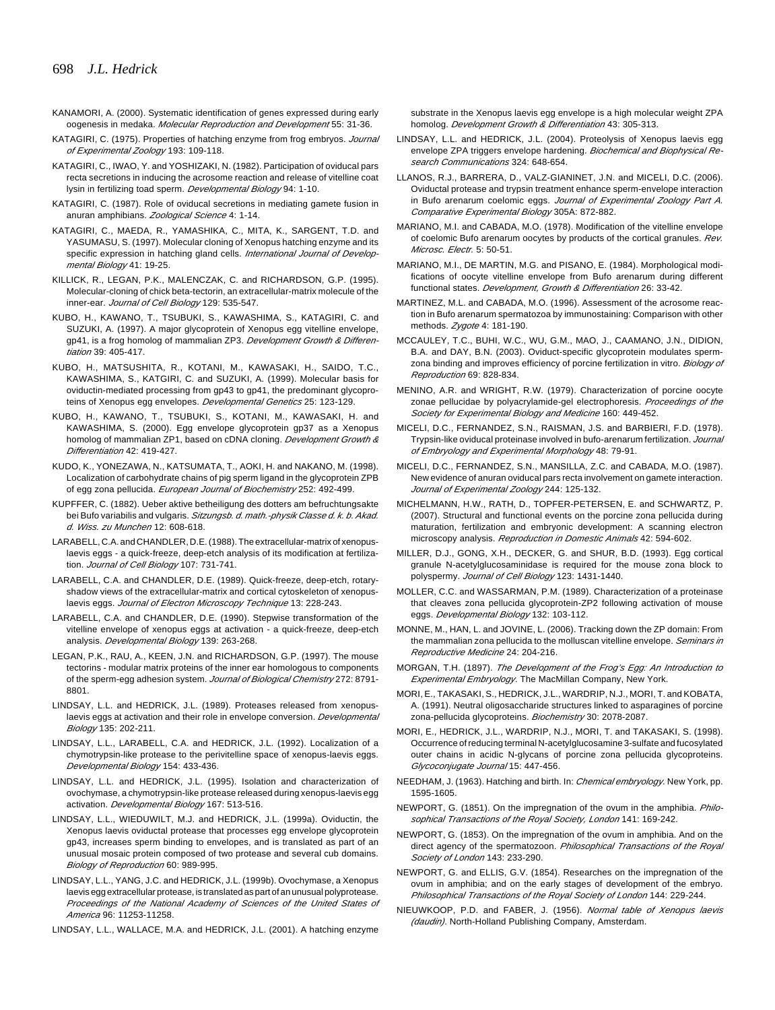## 698 *J.L. Hedrick*

- KANAMORI, A. (2000). Systematic identification of genes expressed during early oogenesis in medaka. *Molecular Reproduction and Development* 55: 31-36.
- KATAGIRI, C. (1975). Properties of hatching enzyme from frog embryos. *Journal of Experimental Zoology* 193: 109-118.
- KATAGIRI, C., IWAO, Y. and YOSHIZAKI, N. (1982). Participation of oviducal pars recta secretions in inducing the acrosome reaction and release of vitelline coat lysin in fertilizing toad sperm. *Developmental Biology* 94: 1-10.
- KATAGIRI, C. (1987). Role of oviducal secretions in mediating gamete fusion in anuran amphibians. *Zoological Science* 4: 1-14.
- KATAGIRI, C., MAEDA, R., YAMASHIKA, C., MITA, K., SARGENT, T.D. and YASUMASU, S. (1997). Molecular cloning of Xenopus hatching enzyme and its specific expression in hatching gland cells. *International Journal of Developmental Biology* 41: 19-25.
- KILLICK, R., LEGAN, P.K., MALENCZAK, C. and RICHARDSON, G.P. (1995). Molecular-cloning of chick beta-tectorin, an extracellular-matrix molecule of the inner-ear. *Journal of Cell Biology* 129: 535-547.
- KUBO, H., KAWANO, T., TSUBUKI, S., KAWASHIMA, S., KATAGIRI, C. and SUZUKI, A. (1997). A major glycoprotein of Xenopus egg vitelline envelope, gp41, is a frog homolog of mammalian ZP3. *Development Growth & Differentiation* 39: 405-417.
- KUBO, H., MATSUSHITA, R., KOTANI, M., KAWASAKI, H., SAIDO, T.C., KAWASHIMA, S., KATGIRI, C. and SUZUKI, A. (1999). Molecular basis for oviductin-mediated processing from gp43 to gp41, the predominant glycoproteins of Xenopus egg envelopes. *Developmental Genetics* 25: 123-129.
- KUBO, H., KAWANO, T., TSUBUKI, S., KOTANI, M., KAWASAKI, H. and KAWASHIMA, S. (2000). Egg envelope glycoprotein gp37 as a Xenopus homolog of mammalian ZP1, based on cDNA cloning. *Development Growth & Differentiation* 42: 419-427.
- KUDO, K., YONEZAWA, N., KATSUMATA, T., AOKI, H. and NAKANO, M. (1998). Localization of carbohydrate chains of pig sperm ligand in the glycoprotein ZPB of egg zona pellucida. *European Journal of Biochemistry* 252: 492-499.
- KUPFFER, C. (1882). Ueber aktive betheiligung des dotters am befruchtungsakte bei Bufo variabilis and vulgaris. *Sitzungsb. d. math.-physik Classe d. k. b. Akad. d. Wiss. zu Munchen* 12: 608-618.
- LARABELL, C.A. and CHANDLER, D.E. (1988). The extracellular-matrix of xenopuslaevis eggs - a quick-freeze, deep-etch analysis of its modification at fertilization. *Journal of Cell Biology* 107: 731-741.
- LARABELL, C.A. and CHANDLER, D.E. (1989). Quick-freeze, deep-etch, rotaryshadow views of the extracellular-matrix and cortical cytoskeleton of xenopuslaevis eggs. *Journal of Electron Microscopy Technique* 13: 228-243.
- LARABELL, C.A. and CHANDLER, D.E. (1990). Stepwise transformation of the vitelline envelope of xenopus eggs at activation - a quick-freeze, deep-etch analysis. *Developmental Biology* 139: 263-268.
- LEGAN, P.K., RAU, A., KEEN, J.N. and RICHARDSON, G.P. (1997). The mouse tectorins - modular matrix proteins of the inner ear homologous to components of the sperm-egg adhesion system. *Journal of Biological Chemistry* 272: 8791- 8801.
- LINDSAY, L.L. and HEDRICK, J.L. (1989). Proteases released from xenopuslaevis eggs at activation and their role in envelope conversion. *Developmental Biology* 135: 202-211.
- LINDSAY, L.L., LARABELL, C.A. and HEDRICK, J.L. (1992). Localization of a chymotrypsin-like protease to the perivitelline space of xenopus-laevis eggs. *Developmental Biology* 154: 433-436.
- LINDSAY, L.L. and HEDRICK, J.L. (1995). Isolation and characterization of ovochymase, a chymotrypsin-like protease released during xenopus-laevis egg activation. *Developmental Biology* 167: 513-516.
- LINDSAY, L.L., WIEDUWILT, M.J. and HEDRICK, J.L. (1999a). Oviductin, the Xenopus laevis oviductal protease that processes egg envelope glycoprotein gp43, increases sperm binding to envelopes, and is translated as part of an unusual mosaic protein composed of two protease and several cub domains. *Biology of Reproduction* 60: 989-995.
- LINDSAY, L.L., YANG, J.C. and HEDRICK, J.L. (1999b). Ovochymase, a Xenopus laevis egg extracellular protease, is translated as part of an unusual polyprotease. *Proceedings of the National Academy of Sciences of the United States of America* 96: 11253-11258.
- LINDSAY, L.L., WALLACE, M.A. and HEDRICK, J.L. (2001). A hatching enzyme

substrate in the Xenopus laevis egg envelope is a high molecular weight ZPA homolog. *Development Growth & Differentiation* 43: 305-313.

- LINDSAY, L.L. and HEDRICK, J.L. (2004). Proteolysis of Xenopus laevis egg envelope ZPA triggers envelope hardening. *Biochemical and Biophysical Research Communications* 324: 648-654.
- LLANOS, R.J., BARRERA, D., VALZ-GIANINET, J.N. and MICELI, D.C. (2006). Oviductal protease and trypsin treatment enhance sperm-envelope interaction in Bufo arenarum coelomic eggs. *Journal of Experimental Zoology Part A. Comparative Experimental Biology* 305A: 872-882.
- MARIANO, M.I. and CABADA, M.O. (1978). Modification of the vitelline envelope of coelomic Bufo arenarum oocytes by products of the cortical granules. *Rev. Microsc. Electr.* 5: 50-51.
- MARIANO, M.I., DE MARTIN, M.G. and PISANO, E. (1984). Morphological modifications of oocyte vitelline envelope from Bufo arenarum during different functional states. *Development, Growth & Differentiation* 26: 33-42.
- MARTINEZ, M.L. and CABADA, M.O. (1996). Assessment of the acrosome reaction in Bufo arenarum spermatozoa by immunostaining: Comparison with other methods. *Zygote* 4: 181-190.
- MCCAULEY, T.C., BUHI, W.C., WU, G.M., MAO, J., CAAMANO, J.N., DIDION, B.A. and DAY, B.N. (2003). Oviduct-specific glycoprotein modulates spermzona binding and improves efficiency of porcine fertilization in vitro. *Biology of Reproduction* 69: 828-834.
- MENINO, A.R. and WRIGHT, R.W. (1979). Characterization of porcine oocyte zonae pellucidae by polyacrylamide-gel electrophoresis. *Proceedings of the Society for Experimental Biology and Medicine* 160: 449-452.
- MICELI, D.C., FERNANDEZ, S.N., RAISMAN, J.S. and BARBIERI, F.D. (1978). Trypsin-like oviducal proteinase involved in bufo-arenarum fertilization. *Journal of Embryology and Experimental Morphology* 48: 79-91.
- MICELI, D.C., FERNANDEZ, S.N., MANSILLA, Z.C. and CABADA, M.O. (1987). New evidence of anuran oviducal pars recta involvement on gamete interaction. *Journal of Experimental Zoology* 244: 125-132.
- MICHELMANN, H.W., RATH, D., TOPFER-PETERSEN, E. and SCHWARTZ, P. (2007). Structural and functional events on the porcine zona pellucida during maturation, fertilization and embryonic development: A scanning electron microscopy analysis. *Reproduction in Domestic Animals* 42: 594-602.
- MILLER, D.J., GONG, X.H., DECKER, G. and SHUR, B.D. (1993). Egg cortical granule N-acetylglucosaminidase is required for the mouse zona block to polyspermy. *Journal of Cell Biology* 123: 1431-1440.
- MOLLER, C.C. and WASSARMAN, P.M. (1989). Characterization of a proteinase that cleaves zona pellucida glycoprotein-ZP2 following activation of mouse eggs. *Developmental Biology* 132: 103-112.
- MONNE, M., HAN, L. and JOVINE, L. (2006). Tracking down the ZP domain: From the mammalian zona pellucida to the molluscan vitelline envelope. *Seminars in Reproductive Medicine* 24: 204-216.
- MORGAN, T.H. (1897). *The Development of the Frog's Egg: An Introduction to Experimental Embryology*. The MacMillan Company, New York.
- MORI, E., TAKASAKI, S., HEDRICK, J.L., WARDRIP, N.J., MORI, T. and KOBATA, A. (1991). Neutral oligosaccharide structures linked to asparagines of porcine zona-pellucida glycoproteins. *Biochemistry* 30: 2078-2087.
- MORI, E., HEDRICK, J.L., WARDRIP, N.J., MORI, T. and TAKASAKI, S. (1998). Occurrence of reducing terminal N-acetylglucosamine 3-sulfate and fucosylated outer chains in acidic N-glycans of porcine zona pellucida glycoproteins. *Glycoconjugate Journal* 15: 447-456.
- NEEDHAM, J. (1963). Hatching and birth. In: *Chemical embryology*. New York, pp. 1595-1605.
- NEWPORT, G. (1851). On the impregnation of the ovum in the amphibia. *Philosophical Transactions of the Royal Society, London* 141: 169-242.
- NEWPORT, G. (1853). On the impregnation of the ovum in amphibia. And on the direct agency of the spermatozoon. *Philosophical Transactions of the Royal Society of London* 143: 233-290.
- NEWPORT, G. and ELLIS, G.V. (1854). Researches on the impregnation of the ovum in amphibia; and on the early stages of development of the embryo. *Philosophical Transactions of the Royal Society of London* 144: 229-244.
- NIEUWKOOP, P.D. and FABER, J. (1956). *Normal table of Xenopus laevis (daudin)*. North-Holland Publishing Company, Amsterdam.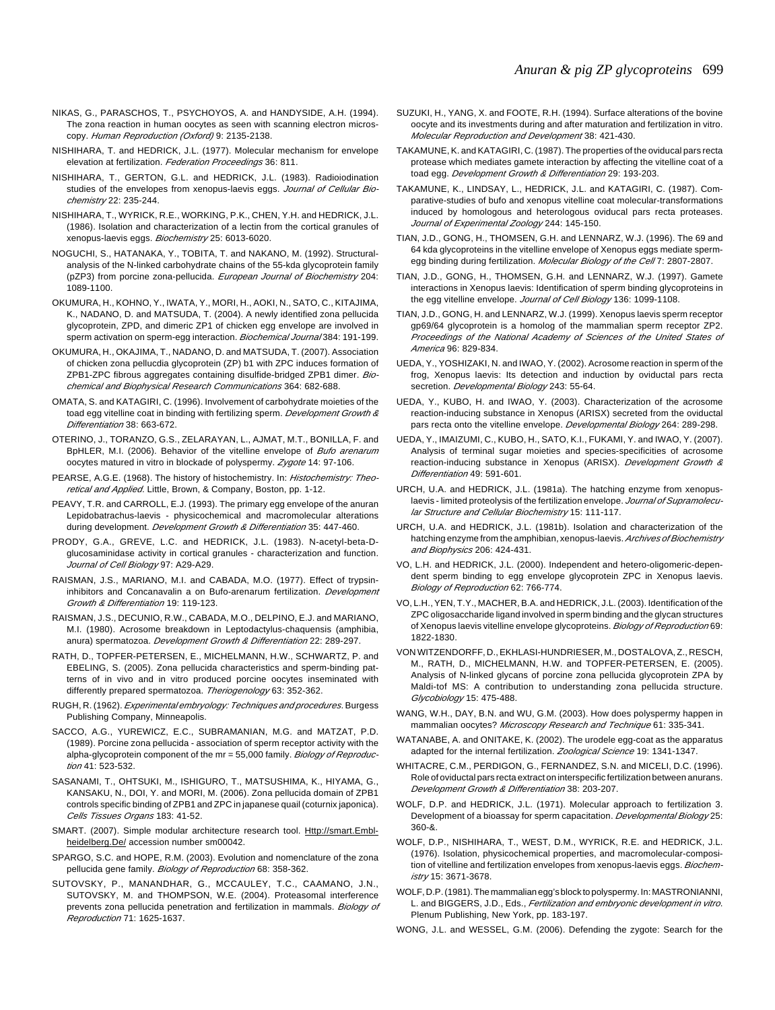- NIKAS, G., PARASCHOS, T., PSYCHOYOS, A. and HANDYSIDE, A.H. (1994). The zona reaction in human oocytes as seen with scanning electron microscopy. *Human Reproduction (Oxford)* 9: 2135-2138.
- NISHIHARA, T. and HEDRICK, J.L. (1977). Molecular mechanism for envelope elevation at fertilization. *Federation Proceedings* 36: 811.
- NISHIHARA, T., GERTON, G.L. and HEDRICK, J.L. (1983). Radioiodination studies of the envelopes from xenopus-laevis eggs. *Journal of Cellular Biochemistry* 22: 235-244.
- NISHIHARA, T., WYRICK, R.E., WORKING, P.K., CHEN, Y.H. and HEDRICK, J.L. (1986). Isolation and characterization of a lectin from the cortical granules of xenopus-laevis eggs. *Biochemistry* 25: 6013-6020.
- NOGUCHI, S., HATANAKA, Y., TOBITA, T. and NAKANO, M. (1992). Structuralanalysis of the N-linked carbohydrate chains of the 55-kda glycoprotein family (pZP3) from porcine zona-pellucida. *European Journal of Biochemistry* 204: 1089-1100.
- OKUMURA, H., KOHNO, Y., IWATA, Y., MORI, H., AOKI, N., SATO, C., KITAJIMA, K., NADANO, D. and MATSUDA, T. (2004). A newly identified zona pellucida glycoprotein, ZPD, and dimeric ZP1 of chicken egg envelope are involved in sperm activation on sperm-egg interaction. *Biochemical Journal* 384: 191-199.
- OKUMURA, H., OKAJIMA, T., NADANO, D. and MATSUDA, T. (2007). Association of chicken zona pellucdia glycoprotein (ZP) b1 with ZPC induces formation of ZPB1-ZPC fibrous aggregates containing disulfide-bridged ZPB1 dimer. *Biochemical and Biophysical Research Communications* 364: 682-688.
- OMATA, S. and KATAGIRI, C. (1996). Involvement of carbohydrate moieties of the toad egg vitelline coat in binding with fertilizing sperm. *Development Growth & Differentiation* 38: 663-672.
- OTERINO, J., TORANZO, G.S., ZELARAYAN, L., AJMAT, M.T., BONILLA, F. and BpHLER, M.I. (2006). Behavior of the vitelline envelope of *Bufo arenarum* oocytes matured in vitro in blockade of polyspermy. *Zygote* 14: 97-106.
- PEARSE, A.G.E. (1968). The history of histochemistry. In: *Histochemistry: Theoretical and Applied*. Little, Brown, & Company, Boston, pp. 1-12.
- PEAVY, T.R. and CARROLL, E.J. (1993). The primary egg envelope of the anuran Lepidobatrachus-laevis - physicochemical and macromolecular alterations during development. *Development Growth & Differentiation* 35: 447-460.
- PRODY, G.A., GREVE, L.C. and HEDRICK, J.L. (1983). N-acetyl-beta-Dglucosaminidase activity in cortical granules - characterization and function. *Journal of Cell Biology* 97: A29-A29.
- RAISMAN, J.S., MARIANO, M.I. and CABADA, M.O. (1977). Effect of trypsininhibitors and Concanavalin a on Bufo-arenarum fertilization. *Development Growth & Differentiation* 19: 119-123.
- RAISMAN, J.S., DECUNIO, R.W., CABADA, M.O., DELPINO, E.J. and MARIANO, M.I. (1980). Acrosome breakdown in Leptodactylus-chaquensis (amphibia, anura) spermatozoa. *Development Growth & Differentiation* 22: 289-297.
- RATH, D., TOPFER-PETERSEN, E., MICHELMANN, H.W., SCHWARTZ, P. and EBELING, S. (2005). Zona pellucida characteristics and sperm-binding patterns of in vivo and in vitro produced porcine oocytes inseminated with differently prepared spermatozoa. *Theriogenology* 63: 352-362.
- RUGH, R. (1962). *Experimental embryology: Techniques and procedures*. Burgess Publishing Company, Minneapolis.
- SACCO, A.G., YUREWICZ, E.C., SUBRAMANIAN, M.G. and MATZAT, P.D. (1989). Porcine zona pellucida - association of sperm receptor activity with the alpha-glycoprotein component of the mr = 55,000 family. *Biology of Reproduction* 41: 523-532.
- SASANAMI, T., OHTSUKI, M., ISHIGURO, T., MATSUSHIMA, K., HIYAMA, G., KANSAKU, N., DOI, Y. and MORI, M. (2006). Zona pellucida domain of ZPB1 controls specific binding of ZPB1 and ZPC in japanese quail (coturnix japonica). *Cells Tissues Organs* 183: 41-52.
- SMART. (2007). Simple modular architecture research tool. Http://smart.Emblheidelberg.De/ accession number sm00042.
- SPARGO, S.C. and HOPE, R.M. (2003). Evolution and nomenclature of the zona pellucida gene family. *Biology of Reproduction* 68: 358-362.
- SUTOVSKY, P., MANANDHAR, G., MCCAULEY, T.C., CAAMANO, J.N., SUTOVSKY, M. and THOMPSON, W.E. (2004). Proteasomal interference prevents zona pellucida penetration and fertilization in mammals. *Biology of Reproduction* 71: 1625-1637.
- SUZUKI, H., YANG, X. and FOOTE, R.H. (1994). Surface alterations of the bovine oocyte and its investments during and after maturation and fertilization in vitro. *Molecular Reproduction and Development* 38: 421-430.
- TAKAMUNE, K. and KATAGIRI, C. (1987). The properties of the oviducal pars recta protease which mediates gamete interaction by affecting the vitelline coat of a toad egg. *Development Growth & Differentiation* 29: 193-203.
- TAKAMUNE, K., LINDSAY, L., HEDRICK, J.L. and KATAGIRI, C. (1987). Comparative-studies of bufo and xenopus vitelline coat molecular-transformations induced by homologous and heterologous oviducal pars recta proteases. *Journal of Experimental Zoology* 244: 145-150.
- TIAN, J.D., GONG, H., THOMSEN, G.H. and LENNARZ, W.J. (1996). The 69 and 64 kda glycoproteins in the vitelline envelope of Xenopus eggs mediate spermegg binding during fertilization. *Molecular Biology of the Cell* 7: 2807-2807.
- TIAN, J.D., GONG, H., THOMSEN, G.H. and LENNARZ, W.J. (1997). Gamete interactions in Xenopus laevis: Identification of sperm binding glycoproteins in the egg vitelline envelope. *Journal of Cell Biology* 136: 1099-1108.
- TIAN, J.D., GONG, H. and LENNARZ, W.J. (1999). Xenopus laevis sperm receptor gp69/64 glycoprotein is a homolog of the mammalian sperm receptor ZP2. *Proceedings of the National Academy of Sciences of the United States of America* 96: 829-834.
- UEDA, Y., YOSHIZAKI, N. and IWAO, Y. (2002). Acrosome reaction in sperm of the frog, Xenopus laevis: Its detection and induction by oviductal pars recta secretion. *Developmental Biology* 243: 55-64.
- UEDA, Y., KUBO, H. and IWAO, Y. (2003). Characterization of the acrosome reaction-inducing substance in Xenopus (ARISX) secreted from the oviductal pars recta onto the vitelline envelope. *Developmental Biology* 264: 289-298.
- UEDA, Y., IMAIZUMI, C., KUBO, H., SATO, K.I., FUKAMI, Y. and IWAO, Y. (2007). Analysis of terminal sugar moieties and species-specificities of acrosome reaction-inducing substance in Xenopus (ARISX). *Development Growth & Differentiation* 49: 591-601.
- URCH, U.A. and HEDRICK, J.L. (1981a). The hatching enzyme from xenopuslaevis - limited proteolysis of the fertilization envelope. *Journal of Supramolecular Structure and Cellular Biochemistry* 15: 111-117.
- URCH, U.A. and HEDRICK, J.L. (1981b). Isolation and characterization of the hatching enzyme from the amphibian, xenopus-laevis. *Archives of Biochemistry and Biophysics* 206: 424-431.
- VO, L.H. and HEDRICK, J.L. (2000). Independent and hetero-oligomeric-dependent sperm binding to egg envelope glycoprotein ZPC in Xenopus laevis. *Biology of Reproduction* 62: 766-774.
- VO, L.H., YEN, T.Y., MACHER, B.A. and HEDRICK, J.L. (2003). Identification of the ZPC oligosaccharide ligand involved in sperm binding and the glycan structures of Xenopus laevis vitelline envelope glycoproteins. *Biology of Reproduction* 69: 1822-1830.
- VON WITZENDORFF, D., EKHLASI-HUNDRIESER, M., DOSTALOVA, Z., RESCH, M., RATH, D., MICHELMANN, H.W. and TOPFER-PETERSEN, E. (2005). Analysis of N-linked glycans of porcine zona pellucida glycoprotein ZPA by Maldi-tof MS: A contribution to understanding zona pellucida structure. *Glycobiology* 15: 475-488.
- WANG, W.H., DAY, B.N. and WU, G.M. (2003). How does polyspermy happen in mammalian oocytes? *Microscopy Research and Technique* 61: 335-341.
- WATANABE, A. and ONITAKE, K. (2002). The urodele egg-coat as the apparatus adapted for the internal fertilization. *Zoological Science* 19: 1341-1347.
- WHITACRE, C.M., PERDIGON, G., FERNANDEZ, S.N. and MICELI, D.C. (1996). Role of oviductal pars recta extract on interspecific fertilization between anurans. *Development Growth & Differentiation* 38: 203-207.
- WOLF, D.P. and HEDRICK, J.L. (1971). Molecular approach to fertilization 3. Development of a bioassay for sperm capacitation. *Developmental Biology* 25: 360-&.
- WOLF, D.P., NISHIHARA, T., WEST, D.M., WYRICK, R.E. and HEDRICK, J.L. (1976). Isolation, physicochemical properties, and macromolecular-composition of vitelline and fertilization envelopes from xenopus-laevis eggs. *Biochemistry* 15: 3671-3678.
- WOLF, D.P. (1981). The mammalian egg's block to polyspermy. In: MASTRONIANNI, L. and BIGGERS, J.D., Eds., *Fertilization and embryonic development in vitro*. Plenum Publishing, New York, pp. 183-197.
- WONG, J.L. and WESSEL, G.M. (2006). Defending the zygote: Search for the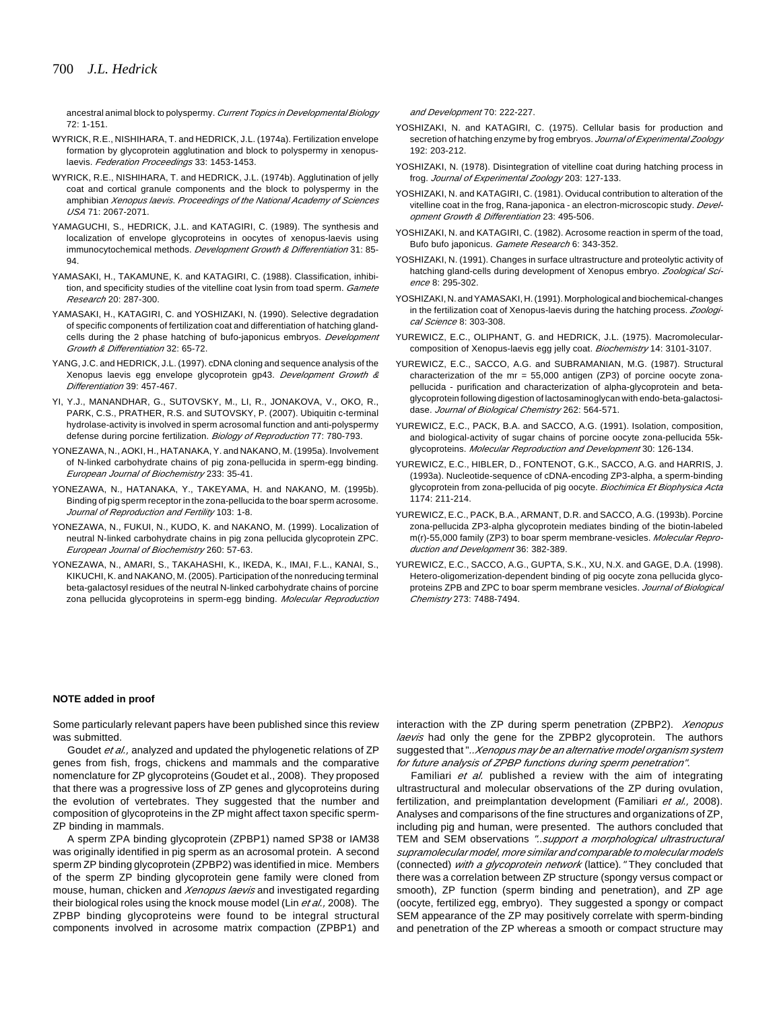ancestral animal block to polyspermy. *Current Topics in Developmental Biology* 72: 1-151.

- WYRICK, R.E., NISHIHARA, T. and HEDRICK, J.L. (1974a). Fertilization envelope formation by glycoprotein agglutination and block to polyspermy in xenopuslaevis. *Federation Proceedings* 33: 1453-1453.
- WYRICK, R.E., NISHIHARA, T. and HEDRICK, J.L. (1974b). Agglutination of jelly coat and cortical granule components and the block to polyspermy in the amphibian *Xenopus laevis*. *Proceedings of the National Academy of Sciences USA* 71: 2067-2071.
- YAMAGUCHI, S., HEDRICK, J.L. and KATAGIRI, C. (1989). The synthesis and localization of envelope glycoproteins in oocytes of xenopus-laevis using immunocytochemical methods. *Development Growth & Differentiation* 31: 85- 94.
- YAMASAKI, H., TAKAMUNE, K. and KATAGIRI, C. (1988). Classification, inhibition, and specificity studies of the vitelline coat lysin from toad sperm. *Gamete Research* 20: 287-300.
- YAMASAKI, H., KATAGIRI, C. and YOSHIZAKI, N. (1990). Selective degradation of specific components of fertilization coat and differentiation of hatching glandcells during the 2 phase hatching of bufo-japonicus embryos. *Development Growth & Differentiation* 32: 65-72.
- YANG, J.C. and HEDRICK, J.L. (1997). cDNA cloning and sequence analysis of the Xenopus laevis egg envelope glycoprotein gp43. *Development Growth & Differentiation* 39: 457-467.
- YI, Y.J., MANANDHAR, G., SUTOVSKY, M., LI, R., JONAKOVA, V., OKO, R., PARK, C.S., PRATHER, R.S. and SUTOVSKY, P. (2007). Ubiquitin c-terminal hydrolase-activity is involved in sperm acrosomal function and anti-polyspermy defense during porcine fertilization. *Biology of Reproduction* 77: 780-793.
- YONEZAWA, N., AOKI, H., HATANAKA, Y. and NAKANO, M. (1995a). Involvement of N-linked carbohydrate chains of pig zona-pellucida in sperm-egg binding. *European Journal of Biochemistry* 233: 35-41.
- YONEZAWA, N., HATANAKA, Y., TAKEYAMA, H. and NAKANO, M. (1995b). Binding of pig sperm receptor in the zona-pellucida to the boar sperm acrosome. *Journal of Reproduction and Fertility* 103: 1-8.
- YONEZAWA, N., FUKUI, N., KUDO, K. and NAKANO, M. (1999). Localization of neutral N-linked carbohydrate chains in pig zona pellucida glycoprotein ZPC. *European Journal of Biochemistry* 260: 57-63.
- YONEZAWA, N., AMARI, S., TAKAHASHI, K., IKEDA, K., IMAI, F.L., KANAI, S., KIKUCHI, K. and NAKANO, M. (2005). Participation of the nonreducing terminal beta-galactosyl residues of the neutral N-linked carbohydrate chains of porcine zona pellucida glycoproteins in sperm-egg binding. *Molecular Reproduction*

*and Development* 70: 222-227.

- YOSHIZAKI, N. and KATAGIRI, C. (1975). Cellular basis for production and secretion of hatching enzyme by frog embryos. *Journal of Experimental Zoology* 192: 203-212.
- YOSHIZAKI, N. (1978). Disintegration of vitelline coat during hatching process in frog. *Journal of Experimental Zoology* 203: 127-133.
- YOSHIZAKI, N. and KATAGIRI, C. (1981). Oviducal contribution to alteration of the vitelline coat in the frog, Rana-japonica - an electron-microscopic study. *Development Growth & Differentiation* 23: 495-506.
- YOSHIZAKI, N. and KATAGIRI, C. (1982). Acrosome reaction in sperm of the toad, Bufo bufo japonicus. *Gamete Research* 6: 343-352.
- YOSHIZAKI, N. (1991). Changes in surface ultrastructure and proteolytic activity of hatching gland-cells during development of Xenopus embryo. *Zoological Science* 8: 295-302.
- YOSHIZAKI, N. and YAMASAKI, H. (1991). Morphological and biochemical-changes in the fertilization coat of Xenopus-laevis during the hatching process. *Zoological Science* 8: 303-308.
- YUREWICZ, E.C., OLIPHANT, G. and HEDRICK, J.L. (1975). Macromolecularcomposition of Xenopus-laevis egg jelly coat. *Biochemistry* 14: 3101-3107.
- YUREWICZ, E.C., SACCO, A.G. and SUBRAMANIAN, M.G. (1987). Structural characterization of the mr =  $55,000$  antigen (ZP3) of porcine oocyte zonapellucida - purification and characterization of alpha-glycoprotein and betaglycoprotein following digestion of lactosaminoglycan with endo-beta-galactosidase. *Journal of Biological Chemistry* 262: 564-571.
- YUREWICZ, E.C., PACK, B.A. and SACCO, A.G. (1991). Isolation, composition, and biological-activity of sugar chains of porcine oocyte zona-pellucida 55kglycoproteins. *Molecular Reproduction and Development* 30: 126-134.
- YUREWICZ, E.C., HIBLER, D., FONTENOT, G.K., SACCO, A.G. and HARRIS, J. (1993a). Nucleotide-sequence of cDNA-encoding ZP3-alpha, a sperm-binding glycoprotein from zona-pellucida of pig oocyte. *Biochimica Et Biophysica Acta* 1174: 211-214.
- YUREWICZ, E.C., PACK, B.A., ARMANT, D.R. and SACCO, A.G. (1993b). Porcine zona-pellucida ZP3-alpha glycoprotein mediates binding of the biotin-labeled m(r)-55,000 family (ZP3) to boar sperm membrane-vesicles. *Molecular Reproduction and Development* 36: 382-389.
- YUREWICZ, E.C., SACCO, A.G., GUPTA, S.K., XU, N.X. and GAGE, D.A. (1998). Hetero-oligomerization-dependent binding of pig oocyte zona pellucida glycoproteins ZPB and ZPC to boar sperm membrane vesicles. *Journal of Biological Chemistry* 273: 7488-7494.

#### **NOTE added in proof**

Some particularly relevant papers have been published since this review was submitted.

Goudet *et al.,* analyzed and updated the phylogenetic relations of ZP genes from fish, frogs, chickens and mammals and the comparative nomenclature for ZP glycoproteins (Goudet et al., 2008). They proposed that there was a progressive loss of ZP genes and glycoproteins during the evolution of vertebrates. They suggested that the number and composition of glycoproteins in the ZP might affect taxon specific sperm-ZP binding in mammals.

A sperm ZPA binding glycoprotein (ZPBP1) named SP38 or IAM38 was originally identified in pig sperm as an acrosomal protein. A second sperm ZP binding glycoprotein (ZPBP2) was identified in mice. Members of the sperm ZP binding glycoprotein gene family were cloned from mouse, human, chicken and *Xenopus laevis* and investigated regarding their biological roles using the knock mouse model (Lin *et al.,* 2008). The ZPBP binding glycoproteins were found to be integral structural components involved in acrosome matrix compaction (ZPBP1) and

interaction with the ZP during sperm penetration (ZPBP2). *Xenopus laevis* had only the gene for the ZPBP2 glycoprotein. The authors suggested that "*..Xenopus may be an alternative model organism system for future analysis of ZPBP functions during sperm penetration"*.

Familiari *et al.* published a review with the aim of integrating ultrastructural and molecular observations of the ZP during ovulation, fertilization, and preimplantation development (Familiari *et al.,* 2008). Analyses and comparisons of the fine structures and organizations of ZP, including pig and human, were presented. The authors concluded that TEM and SEM observations *"..support a morphological ultrastructural supramolecular model, more similar and comparable to molecular models* (connected) *with a glycoprotein network* (lattice)*."* They concluded that there was a correlation between ZP structure (spongy versus compact or smooth), ZP function (sperm binding and penetration), and ZP age (oocyte, fertilized egg, embryo). They suggested a spongy or compact SEM appearance of the ZP may positively correlate with sperm-binding and penetration of the ZP whereas a smooth or compact structure may